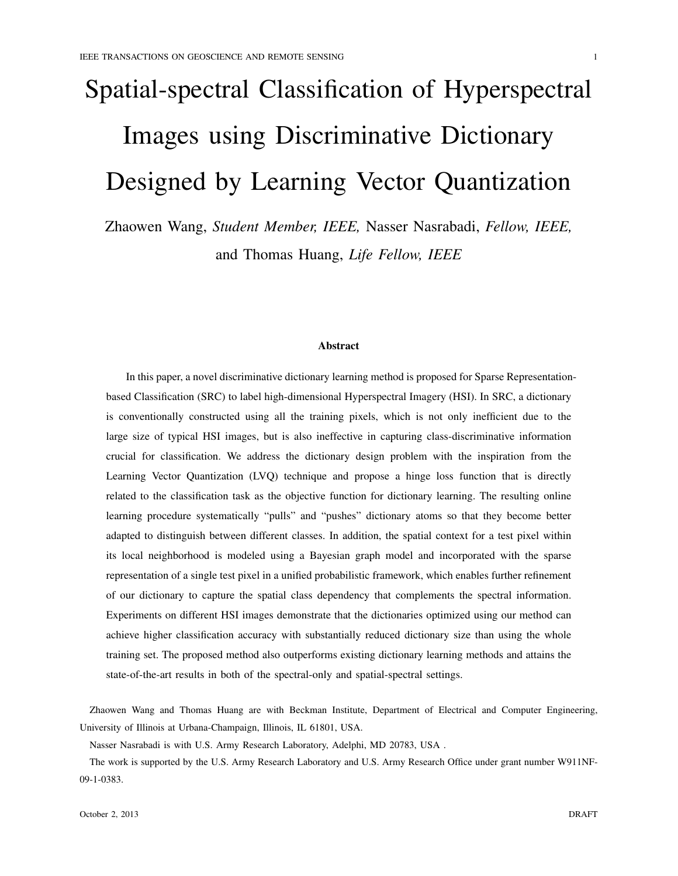# Spatial-spectral Classification of Hyperspectral Images using Discriminative Dictionary Designed by Learning Vector Quantization

Zhaowen Wang, *Student Member, IEEE,* Nasser Nasrabadi, *Fellow, IEEE,* and Thomas Huang, *Life Fellow, IEEE*

#### Abstract

In this paper, a novel discriminative dictionary learning method is proposed for Sparse Representationbased Classification (SRC) to label high-dimensional Hyperspectral Imagery (HSI). In SRC, a dictionary is conventionally constructed using all the training pixels, which is not only inefficient due to the large size of typical HSI images, but is also ineffective in capturing class-discriminative information crucial for classification. We address the dictionary design problem with the inspiration from the Learning Vector Quantization (LVQ) technique and propose a hinge loss function that is directly related to the classification task as the objective function for dictionary learning. The resulting online learning procedure systematically "pulls" and "pushes" dictionary atoms so that they become better adapted to distinguish between different classes. In addition, the spatial context for a test pixel within its local neighborhood is modeled using a Bayesian graph model and incorporated with the sparse representation of a single test pixel in a unified probabilistic framework, which enables further refinement of our dictionary to capture the spatial class dependency that complements the spectral information. Experiments on different HSI images demonstrate that the dictionaries optimized using our method can achieve higher classification accuracy with substantially reduced dictionary size than using the whole training set. The proposed method also outperforms existing dictionary learning methods and attains the state-of-the-art results in both of the spectral-only and spatial-spectral settings.

Zhaowen Wang and Thomas Huang are with Beckman Institute, Department of Electrical and Computer Engineering, University of Illinois at Urbana-Champaign, Illinois, IL 61801, USA.

Nasser Nasrabadi is with U.S. Army Research Laboratory, Adelphi, MD 20783, USA .

The work is supported by the U.S. Army Research Laboratory and U.S. Army Research Office under grant number W911NF-09-1-0383.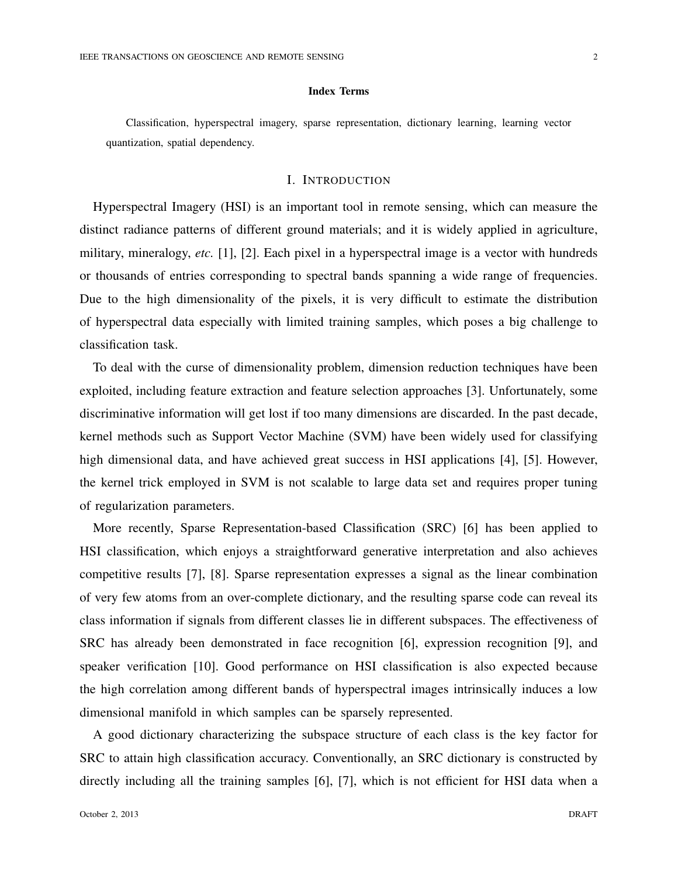Classification, hyperspectral imagery, sparse representation, dictionary learning, learning vector quantization, spatial dependency.

Index Terms

### I. INTRODUCTION

Hyperspectral Imagery (HSI) is an important tool in remote sensing, which can measure the distinct radiance patterns of different ground materials; and it is widely applied in agriculture, military, mineralogy, *etc.* [1], [2]. Each pixel in a hyperspectral image is a vector with hundreds or thousands of entries corresponding to spectral bands spanning a wide range of frequencies. Due to the high dimensionality of the pixels, it is very difficult to estimate the distribution of hyperspectral data especially with limited training samples, which poses a big challenge to classification task.

To deal with the curse of dimensionality problem, dimension reduction techniques have been exploited, including feature extraction and feature selection approaches [3]. Unfortunately, some discriminative information will get lost if too many dimensions are discarded. In the past decade, kernel methods such as Support Vector Machine (SVM) have been widely used for classifying high dimensional data, and have achieved great success in HSI applications [4], [5]. However, the kernel trick employed in SVM is not scalable to large data set and requires proper tuning of regularization parameters.

More recently, Sparse Representation-based Classification (SRC) [6] has been applied to HSI classification, which enjoys a straightforward generative interpretation and also achieves competitive results [7], [8]. Sparse representation expresses a signal as the linear combination of very few atoms from an over-complete dictionary, and the resulting sparse code can reveal its class information if signals from different classes lie in different subspaces. The effectiveness of SRC has already been demonstrated in face recognition [6], expression recognition [9], and speaker verification [10]. Good performance on HSI classification is also expected because the high correlation among different bands of hyperspectral images intrinsically induces a low dimensional manifold in which samples can be sparsely represented.

A good dictionary characterizing the subspace structure of each class is the key factor for SRC to attain high classification accuracy. Conventionally, an SRC dictionary is constructed by directly including all the training samples [6], [7], which is not efficient for HSI data when a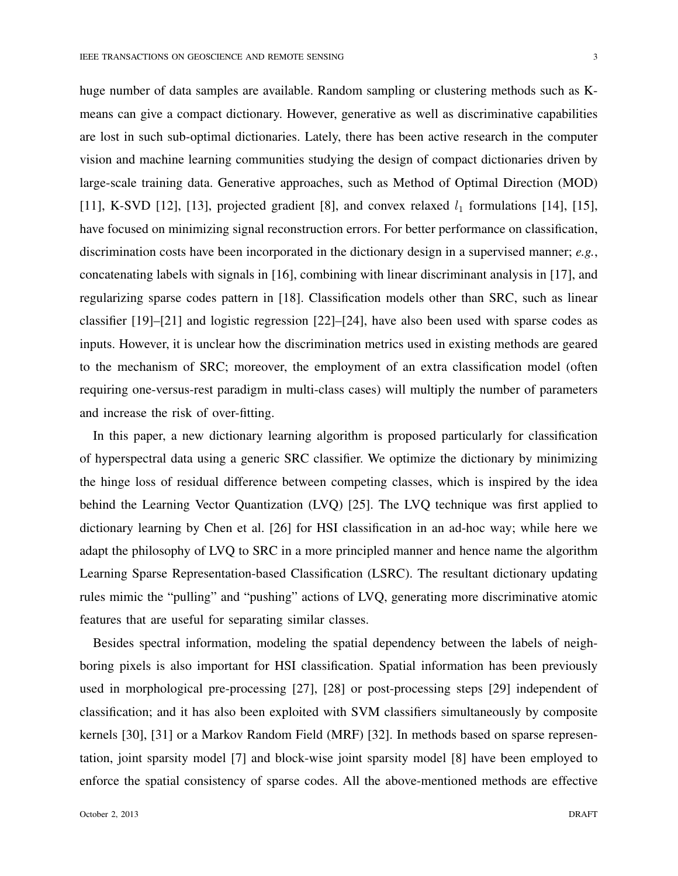huge number of data samples are available. Random sampling or clustering methods such as Kmeans can give a compact dictionary. However, generative as well as discriminative capabilities are lost in such sub-optimal dictionaries. Lately, there has been active research in the computer vision and machine learning communities studying the design of compact dictionaries driven by large-scale training data. Generative approaches, such as Method of Optimal Direction (MOD) [11], K-SVD [12], [13], projected gradient [8], and convex relaxed  $l_1$  formulations [14], [15], have focused on minimizing signal reconstruction errors. For better performance on classification, discrimination costs have been incorporated in the dictionary design in a supervised manner; *e.g.*, concatenating labels with signals in [16], combining with linear discriminant analysis in [17], and regularizing sparse codes pattern in [18]. Classification models other than SRC, such as linear classifier [19]–[21] and logistic regression [22]–[24], have also been used with sparse codes as inputs. However, it is unclear how the discrimination metrics used in existing methods are geared to the mechanism of SRC; moreover, the employment of an extra classification model (often requiring one-versus-rest paradigm in multi-class cases) will multiply the number of parameters and increase the risk of over-fitting.

In this paper, a new dictionary learning algorithm is proposed particularly for classification of hyperspectral data using a generic SRC classifier. We optimize the dictionary by minimizing the hinge loss of residual difference between competing classes, which is inspired by the idea behind the Learning Vector Quantization (LVQ) [25]. The LVQ technique was first applied to dictionary learning by Chen et al. [26] for HSI classification in an ad-hoc way; while here we adapt the philosophy of LVQ to SRC in a more principled manner and hence name the algorithm Learning Sparse Representation-based Classification (LSRC). The resultant dictionary updating rules mimic the "pulling" and "pushing" actions of LVQ, generating more discriminative atomic features that are useful for separating similar classes.

Besides spectral information, modeling the spatial dependency between the labels of neighboring pixels is also important for HSI classification. Spatial information has been previously used in morphological pre-processing [27], [28] or post-processing steps [29] independent of classification; and it has also been exploited with SVM classifiers simultaneously by composite kernels [30], [31] or a Markov Random Field (MRF) [32]. In methods based on sparse representation, joint sparsity model [7] and block-wise joint sparsity model [8] have been employed to enforce the spatial consistency of sparse codes. All the above-mentioned methods are effective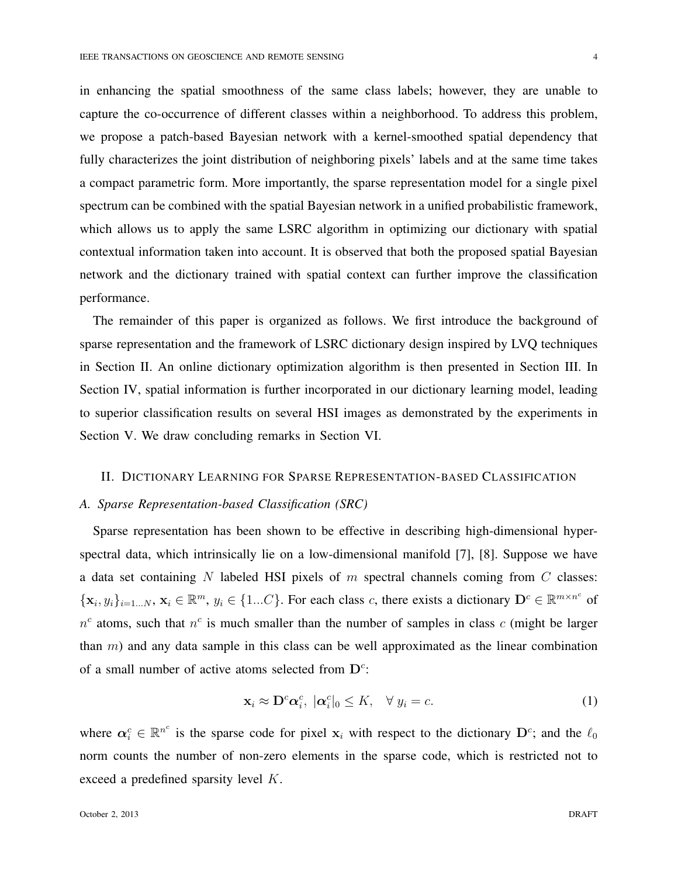in enhancing the spatial smoothness of the same class labels; however, they are unable to capture the co-occurrence of different classes within a neighborhood. To address this problem, we propose a patch-based Bayesian network with a kernel-smoothed spatial dependency that fully characterizes the joint distribution of neighboring pixels' labels and at the same time takes a compact parametric form. More importantly, the sparse representation model for a single pixel spectrum can be combined with the spatial Bayesian network in a unified probabilistic framework, which allows us to apply the same LSRC algorithm in optimizing our dictionary with spatial contextual information taken into account. It is observed that both the proposed spatial Bayesian network and the dictionary trained with spatial context can further improve the classification performance.

The remainder of this paper is organized as follows. We first introduce the background of sparse representation and the framework of LSRC dictionary design inspired by LVQ techniques in Section II. An online dictionary optimization algorithm is then presented in Section III. In Section IV, spatial information is further incorporated in our dictionary learning model, leading to superior classification results on several HSI images as demonstrated by the experiments in Section V. We draw concluding remarks in Section VI.

## II. DICTIONARY LEARNING FOR SPARSE REPRESENTATION-BASED CLASSIFICATION

## *A. Sparse Representation-based Classification (SRC)*

Sparse representation has been shown to be effective in describing high-dimensional hyperspectral data, which intrinsically lie on a low-dimensional manifold [7], [8]. Suppose we have a data set containing *N* labeled HSI pixels of *m* spectral channels coming from *C* classes:  $\{\mathbf x_i, y_i\}_{i=1...N}, \mathbf x_i \in \mathbb{R}^m, y_i \in \{1...C\}$ . For each class c, there exists a dictionary  $\mathbf D^c \in \mathbb{R}^{m \times n^c}$  of  $n<sup>c</sup>$  atoms, such that  $n<sup>c</sup>$  is much smaller than the number of samples in class *c* (might be larger than *m*) and any data sample in this class can be well approximated as the linear combination of a small number of active atoms selected from **D***<sup>c</sup>* :

$$
\mathbf{x}_i \approx \mathbf{D}^c \mathbf{\alpha}_i^c, \; |\mathbf{\alpha}_i^c|_0 \le K, \quad \forall \; y_i = c. \tag{1}
$$

where  $\alpha_i^c \in \mathbb{R}^{n^c}$  is the sparse code for pixel  $\mathbf{x}_i$  with respect to the dictionary  $\mathbf{D}^c$ ; and the  $\ell_0$ norm counts the number of non-zero elements in the sparse code, which is restricted not to exceed a predefined sparsity level *K*.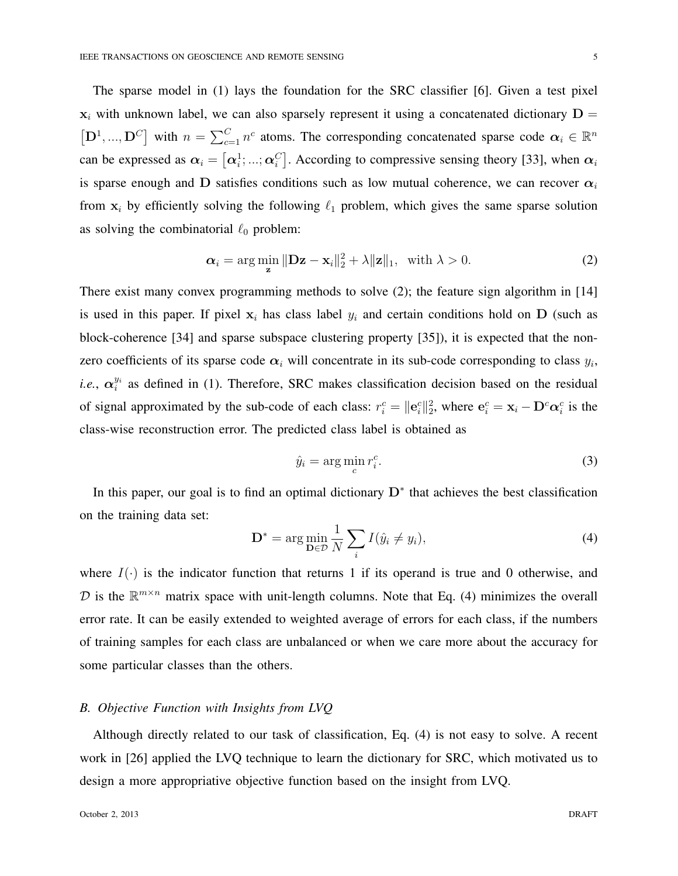The sparse model in (1) lays the foundation for the SRC classifier [6]. Given a test pixel  $x_i$  with unknown label, we can also sparsely represent it using a concatenated dictionary  $D =$  $[D^1, ..., D^C]$  with  $n = \sum_{c=1}^C n^c$  atoms. The corresponding concatenated sparse code  $\alpha_i \in \mathbb{R}^n$ can be expressed as  $\alpha_i = [\alpha_i^1; ...; \alpha_i^C]$ . According to compressive sensing theory [33], when  $\alpha_i$ is sparse enough and **D** satisfies conditions such as low mutual coherence, we can recover  $\alpha_i$ from  $x_i$  by efficiently solving the following  $\ell_1$  problem, which gives the same sparse solution as solving the combinatorial *ℓ*<sup>0</sup> problem:

$$
\alpha_i = \arg\min_{\mathbf{z}} \|\mathbf{D}\mathbf{z} - \mathbf{x}_i\|_2^2 + \lambda \|\mathbf{z}\|_1, \text{ with } \lambda > 0.
$$
 (2)

There exist many convex programming methods to solve (2); the feature sign algorithm in [14] is used in this paper. If pixel  $x_i$  has class label  $y_i$  and certain conditions hold on  $D$  (such as block-coherence [34] and sparse subspace clustering property [35]), it is expected that the nonzero coefficients of its sparse code  $\alpha_i$  will concentrate in its sub-code corresponding to class  $y_i$ , *i.e.*,  $\alpha_i^{y_i}$  as defined in (1). Therefore, SRC makes classification decision based on the residual of signal approximated by the sub-code of each class:  $r_i^c = ||e_i^c||_2^2$ , where  $e_i^c = x_i - D^c \alpha_i^c$  is the class-wise reconstruction error. The predicted class label is obtained as

$$
\hat{y}_i = \arg\min_c r_i^c. \tag{3}
$$

In this paper, our goal is to find an optimal dictionary **D***<sup>∗</sup>* that achieves the best classification on the training data set:

$$
\mathbf{D}^* = \arg\min_{\mathbf{D}\in\mathcal{D}} \frac{1}{N} \sum_i I(\hat{y}_i \neq y_i),\tag{4}
$$

where  $I(\cdot)$  is the indicator function that returns 1 if its operand is true and 0 otherwise, and  $D$  is the  $\mathbb{R}^{m \times n}$  matrix space with unit-length columns. Note that Eq. (4) minimizes the overall error rate. It can be easily extended to weighted average of errors for each class, if the numbers of training samples for each class are unbalanced or when we care more about the accuracy for some particular classes than the others.

## *B. Objective Function with Insights from LVQ*

Although directly related to our task of classification, Eq. (4) is not easy to solve. A recent work in [26] applied the LVQ technique to learn the dictionary for SRC, which motivated us to design a more appropriative objective function based on the insight from LVQ.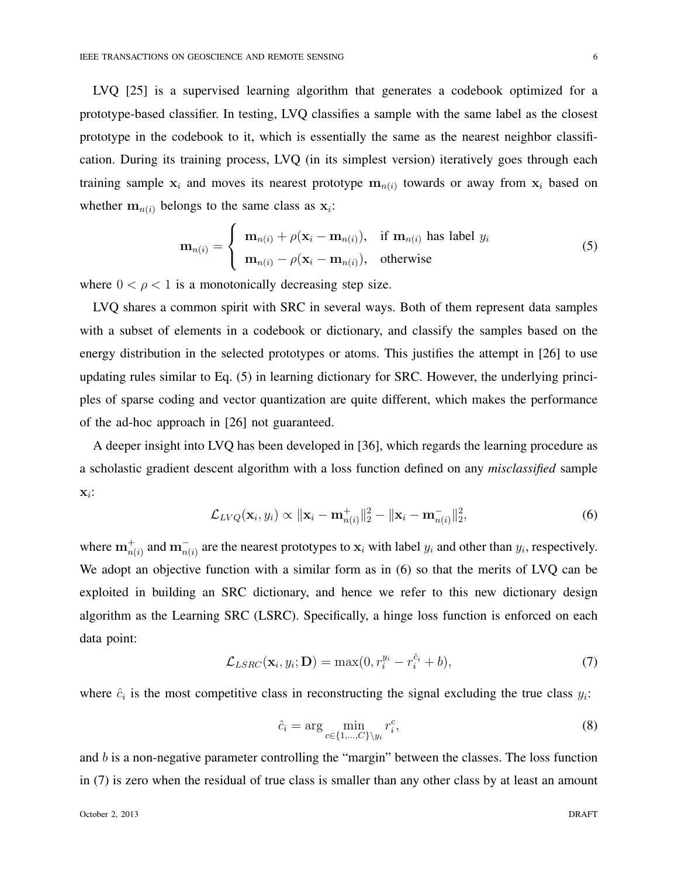LVQ [25] is a supervised learning algorithm that generates a codebook optimized for a prototype-based classifier. In testing, LVQ classifies a sample with the same label as the closest prototype in the codebook to it, which is essentially the same as the nearest neighbor classification. During its training process, LVQ (in its simplest version) iteratively goes through each training sample  $x_i$  and moves its nearest prototype  $m_{n(i)}$  towards or away from  $x_i$  based on whether  $\mathbf{m}_{n(i)}$  belongs to the same class as  $\mathbf{x}_i$ :

$$
\mathbf{m}_{n(i)} = \begin{cases} \mathbf{m}_{n(i)} + \rho(\mathbf{x}_i - \mathbf{m}_{n(i)}), & \text{if } \mathbf{m}_{n(i)} \text{ has label } y_i \\ \mathbf{m}_{n(i)} - \rho(\mathbf{x}_i - \mathbf{m}_{n(i)}), & \text{otherwise} \end{cases}
$$
(5)

where  $0 < \rho < 1$  is a monotonically decreasing step size.

LVQ shares a common spirit with SRC in several ways. Both of them represent data samples with a subset of elements in a codebook or dictionary, and classify the samples based on the energy distribution in the selected prototypes or atoms. This justifies the attempt in [26] to use updating rules similar to Eq. (5) in learning dictionary for SRC. However, the underlying principles of sparse coding and vector quantization are quite different, which makes the performance of the ad-hoc approach in [26] not guaranteed.

A deeper insight into LVQ has been developed in [36], which regards the learning procedure as a scholastic gradient descent algorithm with a loss function defined on any *misclassified* sample **x***i* :

$$
\mathcal{L}_{LVQ}(\mathbf{x}_i, y_i) \propto \|\mathbf{x}_i - \mathbf{m}_{n(i)}^+\|_2^2 - \|\mathbf{x}_i - \mathbf{m}_{n(i)}^-\|_2^2, \tag{6}
$$

where  $m_{n(i)}^+$  and  $m_{n(i)}^-$  are the nearest prototypes to  $x_i$  with label  $y_i$  and other than  $y_i$ , respectively. We adopt an objective function with a similar form as in  $(6)$  so that the merits of LVQ can be exploited in building an SRC dictionary, and hence we refer to this new dictionary design algorithm as the Learning SRC (LSRC). Specifically, a hinge loss function is enforced on each data point:

$$
\mathcal{L}_{LSRC}(\mathbf{x}_i, y_i; \mathbf{D}) = \max(0, r_i^{y_i} - r_i^{\hat{c}_i} + b), \tag{7}
$$

where  $\hat{c}_i$  is the most competitive class in reconstructing the signal excluding the true class  $y_i$ :

$$
\hat{c}_i = \arg\min_{c \in \{1, \dots, C\} \setminus y_i} r_i^c,\tag{8}
$$

and *b* is a non-negative parameter controlling the "margin" between the classes. The loss function in (7) is zero when the residual of true class is smaller than any other class by at least an amount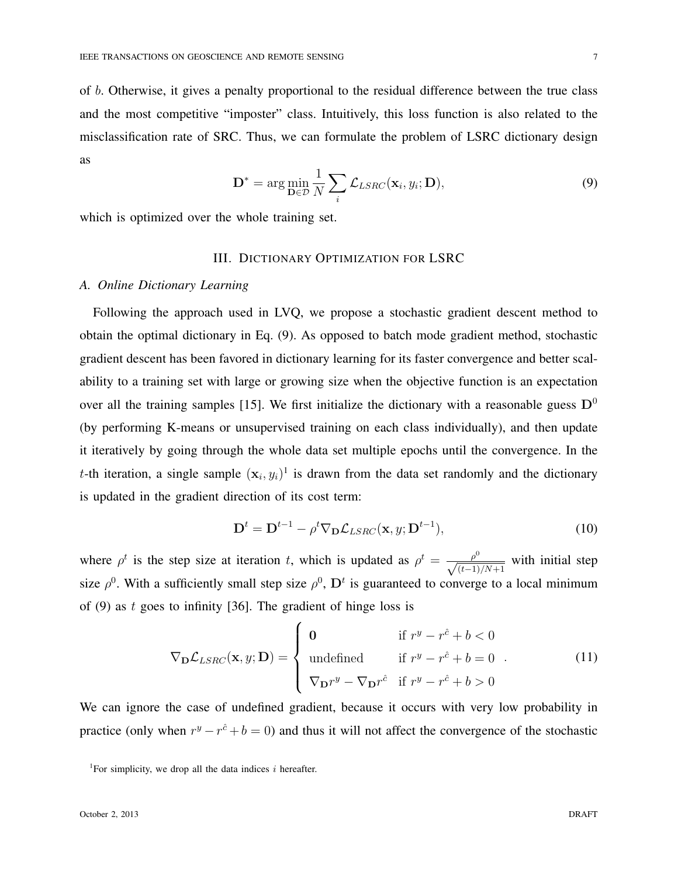of *b*. Otherwise, it gives a penalty proportional to the residual difference between the true class and the most competitive "imposter" class. Intuitively, this loss function is also related to the misclassification rate of SRC. Thus, we can formulate the problem of LSRC dictionary design as

$$
\mathbf{D}^* = \arg\min_{\mathbf{D}\in\mathcal{D}} \frac{1}{N} \sum_i \mathcal{L}_{LSRC}(\mathbf{x}_i, y_i; \mathbf{D}),
$$
\n(9)

which is optimized over the whole training set.

# III. DICTIONARY OPTIMIZATION FOR LSRC

#### *A. Online Dictionary Learning*

Following the approach used in LVQ, we propose a stochastic gradient descent method to obtain the optimal dictionary in Eq. (9). As opposed to batch mode gradient method, stochastic gradient descent has been favored in dictionary learning for its faster convergence and better scalability to a training set with large or growing size when the objective function is an expectation over all the training samples [15]. We first initialize the dictionary with a reasonable guess  $D^0$ (by performing K-means or unsupervised training on each class individually), and then update it iteratively by going through the whole data set multiple epochs until the convergence. In the *t*-th iteration, a single sample  $(\mathbf{x}_i, y_i)^1$  is drawn from the data set randomly and the dictionary is updated in the gradient direction of its cost term:

$$
\mathbf{D}^{t} = \mathbf{D}^{t-1} - \rho^{t} \nabla_{\mathbf{D}} \mathcal{L}_{LSRC}(\mathbf{x}, y; \mathbf{D}^{t-1}),
$$
\n(10)

where  $\rho^t$  is the step size at iteration *t*, which is updated as  $\rho^t = \frac{\rho^0}{\sqrt{(t-1)/N+1}}$  with initial step size  $\rho^0$ . With a sufficiently small step size  $\rho^0$ ,  $\mathbf{D}^t$  is guaranteed to converge to a local minimum of (9) as *t* goes to infinity [36]. The gradient of hinge loss is

$$
\nabla_{\mathbf{D}} \mathcal{L}_{LSRC}(\mathbf{x}, y; \mathbf{D}) = \begin{cases}\n\mathbf{0} & \text{if } r^y - r^{\hat{c}} + b < 0 \\
\text{undefined} & \text{if } r^y - r^{\hat{c}} + b = 0 \\
\nabla_{\mathbf{D}} r^y - \nabla_{\mathbf{D}} r^{\hat{c}} & \text{if } r^y - r^{\hat{c}} + b > 0\n\end{cases} \tag{11}
$$

We can ignore the case of undefined gradient, because it occurs with very low probability in practice (only when  $r^y - r^{\hat{c}} + b = 0$ ) and thus it will not affect the convergence of the stochastic

<sup>&</sup>lt;sup>1</sup>For simplicity, we drop all the data indices  $i$  hereafter.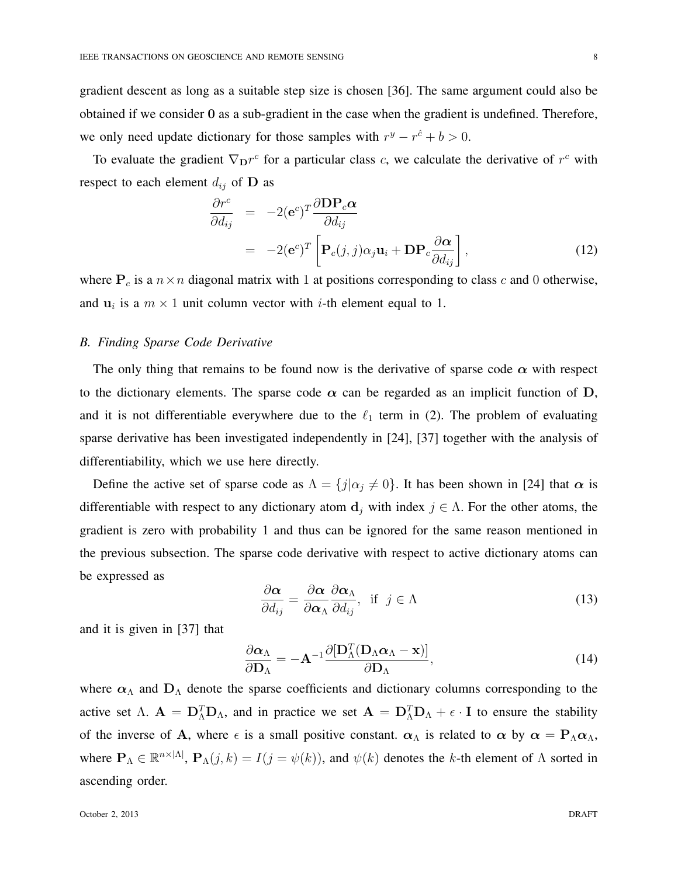gradient descent as long as a suitable step size is chosen [36]. The same argument could also be obtained if we consider **0** as a sub-gradient in the case when the gradient is undefined. Therefore, we only need update dictionary for those samples with  $r^y - r^{\hat{c}} + b > 0$ .

To evaluate the gradient  $\nabla_{\mathbf{D}} r^c$  for a particular class *c*, we calculate the derivative of  $r^c$  with respect to each element  $d_{ij}$  of **D** as

$$
\frac{\partial r^c}{\partial d_{ij}} = -2(\mathbf{e}^c)^T \frac{\partial \mathbf{D} \mathbf{P}_c \alpha}{\partial d_{ij}} \n= -2(\mathbf{e}^c)^T \left[ \mathbf{P}_c(j,j) \alpha_j \mathbf{u}_i + \mathbf{D} \mathbf{P}_c \frac{\partial \alpha}{\partial d_{ij}} \right],
$$
\n(12)

where  $P_c$  is a  $n \times n$  diagonal matrix with 1 at positions corresponding to class *c* and 0 otherwise, and  $\mathbf{u}_i$  is a  $m \times 1$  unit column vector with *i*-th element equal to 1.

#### *B. Finding Sparse Code Derivative*

The only thing that remains to be found now is the derivative of sparse code  $\alpha$  with respect to the dictionary elements. The sparse code  $\alpha$  can be regarded as an implicit function of  $D$ , and it is not differentiable everywhere due to the  $\ell_1$  term in (2). The problem of evaluating sparse derivative has been investigated independently in [24], [37] together with the analysis of differentiability, which we use here directly.

Define the active set of sparse code as  $\Lambda = \{j | \alpha_j \neq 0\}$ . It has been shown in [24] that  $\alpha$  is differentiable with respect to any dictionary atom  $\mathbf{d}_j$  with index  $j \in \Lambda$ . For the other atoms, the gradient is zero with probability 1 and thus can be ignored for the same reason mentioned in the previous subsection. The sparse code derivative with respect to active dictionary atoms can be expressed as

$$
\frac{\partial \alpha}{\partial d_{ij}} = \frac{\partial \alpha}{\partial \alpha_{\Lambda}} \frac{\partial \alpha_{\Lambda}}{\partial d_{ij}}, \text{ if } j \in \Lambda
$$
\n(13)

and it is given in [37] that

$$
\frac{\partial \alpha_{\Lambda}}{\partial \mathbf{D}_{\Lambda}} = -\mathbf{A}^{-1} \frac{\partial [\mathbf{D}_{\Lambda}^T (\mathbf{D}_{\Lambda} \alpha_{\Lambda} - \mathbf{x})]}{\partial \mathbf{D}_{\Lambda}},
$$
(14)

where  $\alpha_{\Lambda}$  and  $D_{\Lambda}$  denote the sparse coefficients and dictionary columns corresponding to the active set  $\Lambda$ .  $\mathbf{A} = \mathbf{D}_{\Lambda}^{T} \mathbf{D}_{\Lambda}$ , and in practice we set  $\mathbf{A} = \mathbf{D}_{\Lambda}^{T} \mathbf{D}_{\Lambda} + \epsilon \cdot \mathbf{I}$  to ensure the stability of the inverse of **A**, where  $\epsilon$  is a small positive constant.  $\alpha_{\Lambda}$  is related to  $\alpha$  by  $\alpha = P_{\Lambda} \alpha_{\Lambda}$ , where  $\mathbf{P}_{\Lambda} \in \mathbb{R}^{n \times |\Lambda|}$ ,  $\mathbf{P}_{\Lambda}(j,k) = I(j = \psi(k))$ , and  $\psi(k)$  denotes the *k*-th element of  $\Lambda$  sorted in ascending order.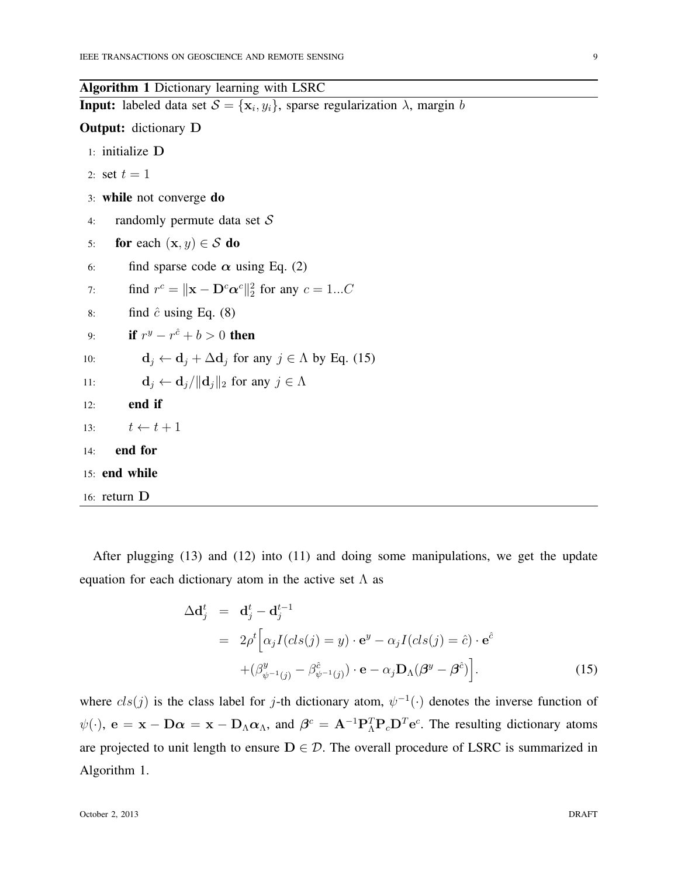Algorithm 1 Dictionary learning with LSRC **Input:** labeled data set  $S = {\mathbf{x}_i, y_i}$ , sparse regularization  $\lambda$ , margin *b* Output: dictionary **D** 1: initialize **D** 2: set  $t = 1$ 3: while not converge do 4: randomly permute data set *S* 5: for each  $(\mathbf{x}, y) \in S$  do 6: find sparse code  $\alpha$  using Eq. (2) 7: find  $r^c = ||\mathbf{x} - \mathbf{D}^c \alpha^c||_2^2$  for any  $c = 1...C$ 8: find  $\hat{c}$  using Eq. (8) 9: **if**  $r^y - r^{\hat{c}} + b > 0$  **then** 10: **d**<sub>*j*</sub>  $\leftarrow$  **d**<sub>*j*</sub>  $\leftarrow$  **d**<sub>*j*</sub>  $\leftarrow$  **d**<sub>*j*</sub> for any *j*  $\in$  *A* by Eq. (15) 11: **d**<sub>*j*</sub>  $\leftarrow$  **d**<sub>*j*</sub> $\left|\left|\mathbf{d}_j\right|\right|_2$  for any  $j \in \Lambda$ 12: end if 13:  $t \leftarrow t + 1$ 14: end for 15: end while 16: return **D**

After plugging (13) and (12) into (11) and doing some manipulations, we get the update equation for each dictionary atom in the active set  $\Lambda$  as

$$
\Delta \mathbf{d}_{j}^{t} = \mathbf{d}_{j}^{t} - \mathbf{d}_{j}^{t-1}
$$
  
\n
$$
= 2\rho^{t} \Big[ \alpha_{j} I(cls(j) = y) \cdot \mathbf{e}^{y} - \alpha_{j} I(cls(j) = \hat{c}) \cdot \mathbf{e}^{\hat{c}}
$$
  
\n
$$
+ (\beta_{\psi^{-1}(j)}^{y} - \beta_{\psi^{-1}(j)}^{\hat{c}}) \cdot \mathbf{e} - \alpha_{j} \mathbf{D}_{\Lambda} (\beta^{y} - \beta^{\hat{c}}) \Big].
$$
 (15)

where  $cls(j)$  is the class label for *j*-th dictionary atom,  $\psi^{-1}(\cdot)$  denotes the inverse function of  $\psi(\cdot)$ ,  $e = x - D\alpha = x - D_{\Lambda}\alpha_{\Lambda}$ , and  $\beta^{c} = A^{-1}P_{\Lambda}^{T}P_{c}D^{T}e^{c}$ . The resulting dictionary atoms are projected to unit length to ensure  $D \in \mathcal{D}$ . The overall procedure of LSRC is summarized in Algorithm 1.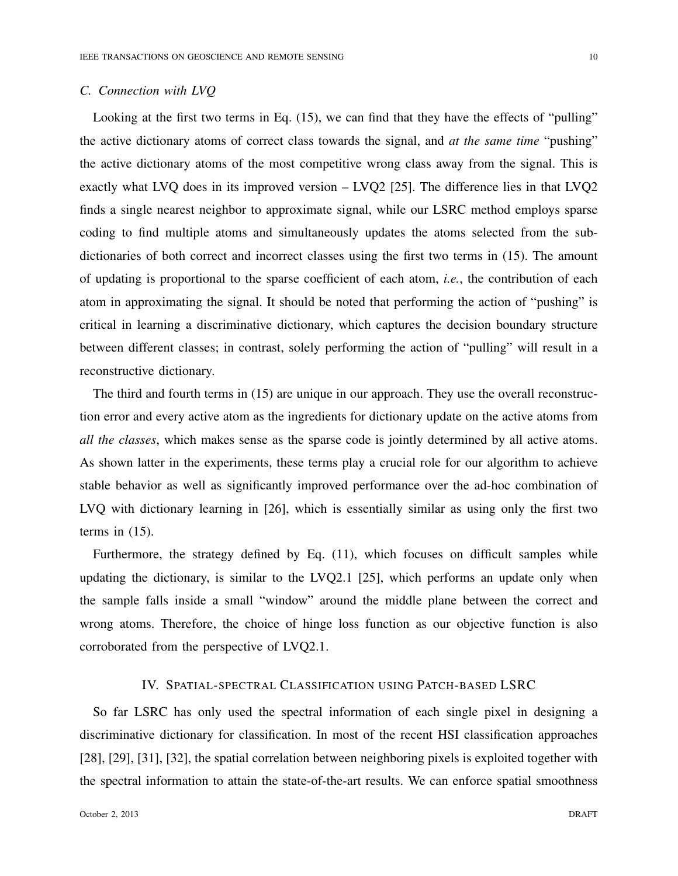## *C. Connection with LVQ*

Looking at the first two terms in Eq.  $(15)$ , we can find that they have the effects of "pulling" the active dictionary atoms of correct class towards the signal, and *at the same time* "pushing" the active dictionary atoms of the most competitive wrong class away from the signal. This is exactly what LVQ does in its improved version – LVQ2 [25]. The difference lies in that LVQ2 finds a single nearest neighbor to approximate signal, while our LSRC method employs sparse coding to find multiple atoms and simultaneously updates the atoms selected from the subdictionaries of both correct and incorrect classes using the first two terms in (15). The amount of updating is proportional to the sparse coefficient of each atom, *i.e.*, the contribution of each atom in approximating the signal. It should be noted that performing the action of "pushing" is critical in learning a discriminative dictionary, which captures the decision boundary structure between different classes; in contrast, solely performing the action of "pulling" will result in a reconstructive dictionary.

The third and fourth terms in (15) are unique in our approach. They use the overall reconstruction error and every active atom as the ingredients for dictionary update on the active atoms from *all the classes*, which makes sense as the sparse code is jointly determined by all active atoms. As shown latter in the experiments, these terms play a crucial role for our algorithm to achieve stable behavior as well as significantly improved performance over the ad-hoc combination of LVQ with dictionary learning in [26], which is essentially similar as using only the first two terms in (15).

Furthermore, the strategy defined by Eq. (11), which focuses on difficult samples while updating the dictionary, is similar to the LVQ2.1 [25], which performs an update only when the sample falls inside a small "window" around the middle plane between the correct and wrong atoms. Therefore, the choice of hinge loss function as our objective function is also corroborated from the perspective of LVQ2.1.

## IV. SPATIAL-SPECTRAL CLASSIFICATION USING PATCH-BASED LSRC

So far LSRC has only used the spectral information of each single pixel in designing a discriminative dictionary for classification. In most of the recent HSI classification approaches [28], [29], [31], [32], the spatial correlation between neighboring pixels is exploited together with the spectral information to attain the state-of-the-art results. We can enforce spatial smoothness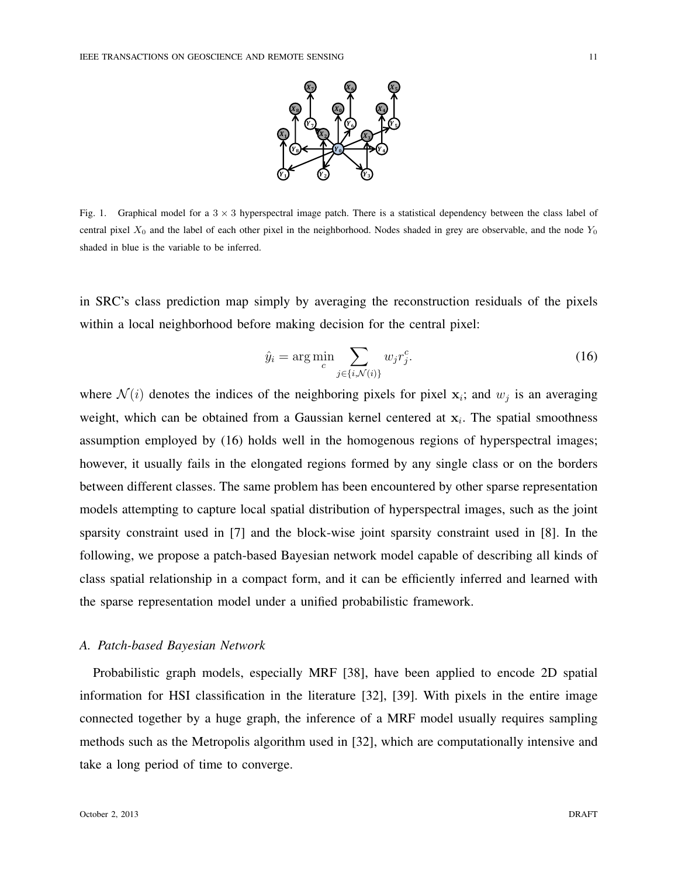

Fig. 1. Graphical model for a 3 *×* 3 hyperspectral image patch. There is a statistical dependency between the class label of central pixel *X*<sup>0</sup> and the label of each other pixel in the neighborhood. Nodes shaded in grey are observable, and the node *Y*<sup>0</sup> shaded in blue is the variable to be inferred.

in SRC's class prediction map simply by averaging the reconstruction residuals of the pixels within a local neighborhood before making decision for the central pixel:

$$
\hat{y}_i = \arg\min_c \sum_{j \in \{i, \mathcal{N}(i)\}} w_j r_j^c. \tag{16}
$$

where  $\mathcal{N}(i)$  denotes the indices of the neighboring pixels for pixel  $\mathbf{x}_i$ ; and  $w_j$  is an averaging weight, which can be obtained from a Gaussian kernel centered at **x***<sup>i</sup>* . The spatial smoothness assumption employed by (16) holds well in the homogenous regions of hyperspectral images; however, it usually fails in the elongated regions formed by any single class or on the borders between different classes. The same problem has been encountered by other sparse representation models attempting to capture local spatial distribution of hyperspectral images, such as the joint sparsity constraint used in [7] and the block-wise joint sparsity constraint used in [8]. In the following, we propose a patch-based Bayesian network model capable of describing all kinds of class spatial relationship in a compact form, and it can be efficiently inferred and learned with the sparse representation model under a unified probabilistic framework.

## *A. Patch-based Bayesian Network*

Probabilistic graph models, especially MRF [38], have been applied to encode 2D spatial information for HSI classification in the literature [32], [39]. With pixels in the entire image connected together by a huge graph, the inference of a MRF model usually requires sampling methods such as the Metropolis algorithm used in [32], which are computationally intensive and take a long period of time to converge.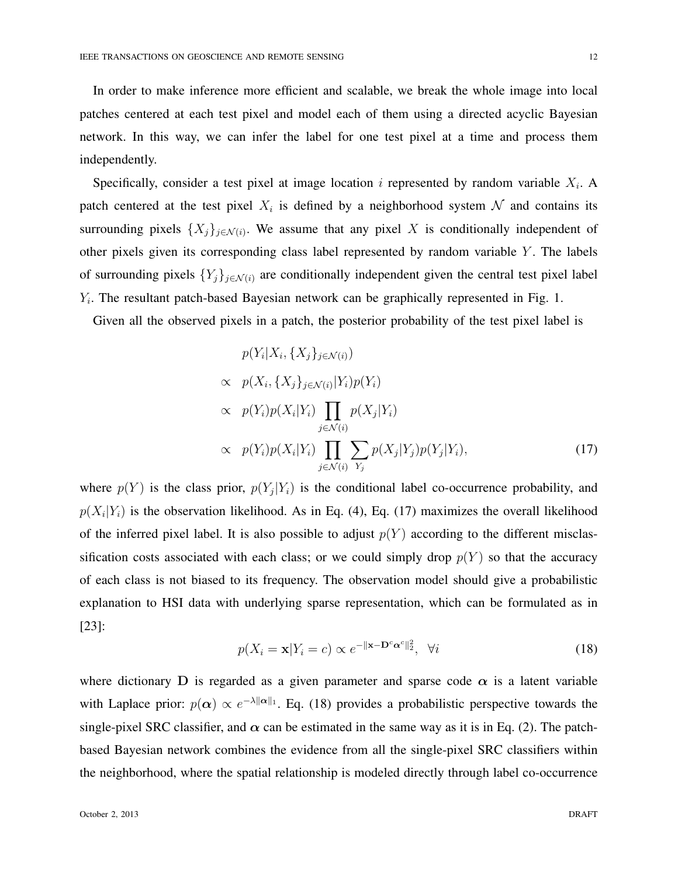In order to make inference more efficient and scalable, we break the whole image into local patches centered at each test pixel and model each of them using a directed acyclic Bayesian network. In this way, we can infer the label for one test pixel at a time and process them independently.

Specifically, consider a test pixel at image location *i* represented by random variable *X<sup>i</sup>* . A patch centered at the test pixel  $X_i$  is defined by a neighborhood system  $N$  and contains its surrounding pixels  $\{X_j\}_{j \in \mathcal{N}(i)}$ . We assume that any pixel X is conditionally independent of other pixels given its corresponding class label represented by random variable *Y* . The labels of surrounding pixels  ${Y_i}_{i \in \mathcal{N}(i)}$  are conditionally independent given the central test pixel label *Yi* . The resultant patch-based Bayesian network can be graphically represented in Fig. 1.

Given all the observed pixels in a patch, the posterior probability of the test pixel label is

$$
p(Y_i|X_i, \{X_j\}_{j \in \mathcal{N}(i)})
$$
  
\n
$$
\propto p(X_i, \{X_j\}_{j \in \mathcal{N}(i)} | Y_i) p(Y_i)
$$
  
\n
$$
\propto p(Y_i) p(X_i|Y_i) \prod_{j \in \mathcal{N}(i)} p(X_j|Y_i)
$$
  
\n
$$
\propto p(Y_i) p(X_i|Y_i) \prod_{j \in \mathcal{N}(i)} \sum_{Y_j} p(X_j|Y_j) p(Y_j|Y_i),
$$
\n(17)

where  $p(Y)$  is the class prior,  $p(Y_j|Y_i)$  is the conditional label co-occurrence probability, and  $p(X_i|Y_i)$  is the observation likelihood. As in Eq. (4), Eq. (17) maximizes the overall likelihood of the inferred pixel label. It is also possible to adjust  $p(Y)$  according to the different misclassification costs associated with each class; or we could simply drop  $p(Y)$  so that the accuracy of each class is not biased to its frequency. The observation model should give a probabilistic explanation to HSI data with underlying sparse representation, which can be formulated as in [23]:

$$
p(X_i = \mathbf{x}|Y_i = c) \propto e^{-\|\mathbf{x} - \mathbf{D}^c \alpha^c\|_2^2}, \quad \forall i
$$
\n(18)

where dictionary **D** is regarded as a given parameter and sparse code  $\alpha$  is a latent variable with Laplace prior:  $p(\alpha) \propto e^{-\lambda ||\alpha||_1}$ . Eq. (18) provides a probabilistic perspective towards the single-pixel SRC classifier, and  $\alpha$  can be estimated in the same way as it is in Eq. (2). The patchbased Bayesian network combines the evidence from all the single-pixel SRC classifiers within the neighborhood, where the spatial relationship is modeled directly through label co-occurrence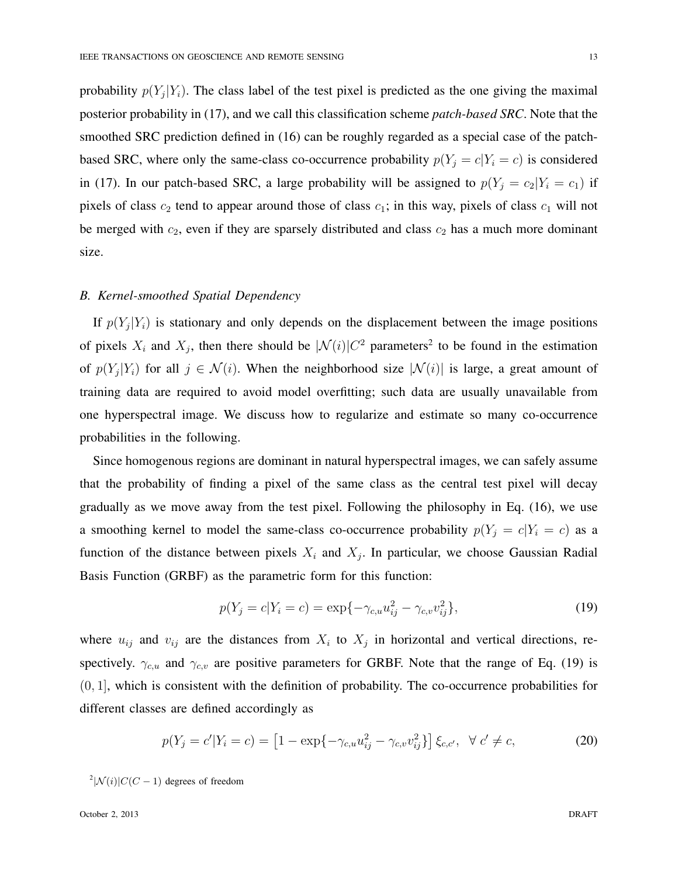probability  $p(Y_j|Y_i)$ . The class label of the test pixel is predicted as the one giving the maximal posterior probability in (17), and we call this classification scheme *patch-based SRC*. Note that the smoothed SRC prediction defined in (16) can be roughly regarded as a special case of the patchbased SRC, where only the same-class co-occurrence probability  $p(Y_j = c | Y_i = c)$  is considered in (17). In our patch-based SRC, a large probability will be assigned to  $p(Y_j = c_2 | Y_i = c_1)$  if pixels of class  $c_2$  tend to appear around those of class  $c_1$ ; in this way, pixels of class  $c_1$  will not be merged with  $c_2$ , even if they are sparsely distributed and class  $c_2$  has a much more dominant size.

## *B. Kernel-smoothed Spatial Dependency*

If  $p(Y_j|Y_i)$  is stationary and only depends on the displacement between the image positions of pixels  $X_i$  and  $X_j$ , then there should be  $|\mathcal{N}(i)|C^2$  parameters<sup>2</sup> to be found in the estimation of  $p(Y_j|Y_i)$  for all  $j \in \mathcal{N}(i)$ . When the neighborhood size  $|\mathcal{N}(i)|$  is large, a great amount of training data are required to avoid model overfitting; such data are usually unavailable from one hyperspectral image. We discuss how to regularize and estimate so many co-occurrence probabilities in the following.

Since homogenous regions are dominant in natural hyperspectral images, we can safely assume that the probability of finding a pixel of the same class as the central test pixel will decay gradually as we move away from the test pixel. Following the philosophy in Eq. (16), we use a smoothing kernel to model the same-class co-occurrence probability  $p(Y_j = c | Y_i = c)$  as a function of the distance between pixels  $X_i$  and  $X_j$ . In particular, we choose Gaussian Radial Basis Function (GRBF) as the parametric form for this function:

$$
p(Y_j = c | Y_i = c) = \exp\{-\gamma_{c,u}u_{ij}^2 - \gamma_{c,v}v_{ij}^2\},\tag{19}
$$

where  $u_{ij}$  and  $v_{ij}$  are the distances from  $X_i$  to  $X_j$  in horizontal and vertical directions, respectively.  $\gamma_{c,u}$  and  $\gamma_{c,v}$  are positive parameters for GRBF. Note that the range of Eq. (19) is (0*,* 1], which is consistent with the definition of probability. The co-occurrence probabilities for different classes are defined accordingly as

$$
p(Y_j = c'|Y_i = c) = [1 - \exp\{-\gamma_{c,u}u_{ij}^2 - \gamma_{c,v}v_{ij}^2\}] \xi_{c,c'}, \quad \forall \ c' \neq c,
$$
 (20)

 $\frac{2}{N}$ (*i*) $|C(C-1)|$  degrees of freedom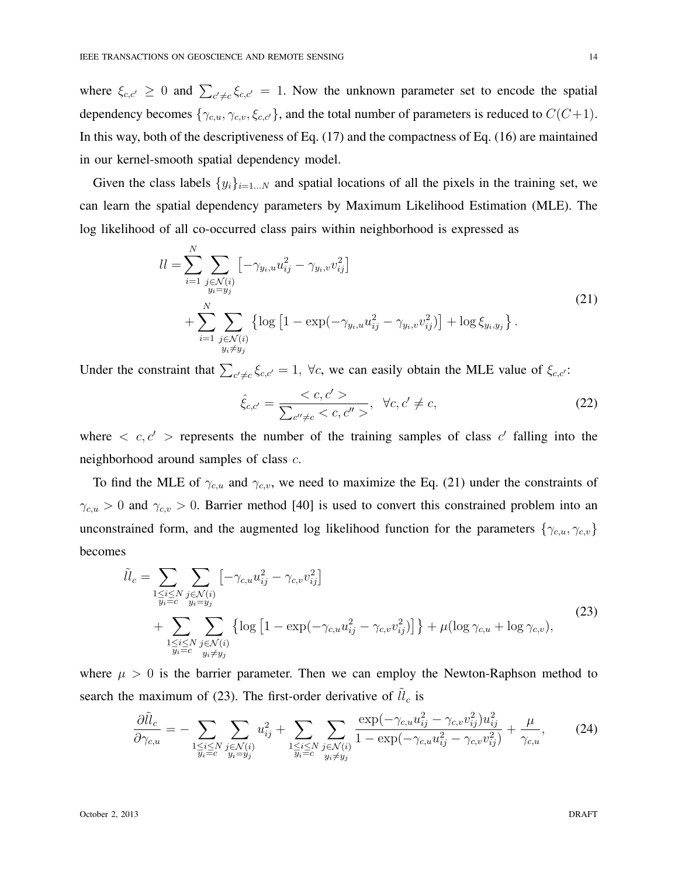where  $\xi_{c,c'} \geq 0$  and  $\sum_{c'\neq c} \xi_{c,c'} = 1$ . Now the unknown parameter set to encode the spatial dependency becomes  $\{\gamma_{c,u}, \gamma_{c,v}, \xi_{c,c'}\}$ , and the total number of parameters is reduced to  $C(C+1)$ . In this way, both of the descriptiveness of Eq. (17) and the compactness of Eq. (16) are maintained in our kernel-smooth spatial dependency model.

Given the class labels  $\{y_i\}_{i=1...N}$  and spatial locations of all the pixels in the training set, we can learn the spatial dependency parameters by Maximum Likelihood Estimation (MLE). The log likelihood of all co-occurred class pairs within neighborhood is expressed as

$$
ll = \sum_{i=1}^{N} \sum_{\substack{j \in \mathcal{N}(i) \\ y_i = y_j}} \left[ -\gamma_{y_i, u} u_{ij}^2 - \gamma_{y_i, v} v_{ij}^2 \right] + \sum_{i=1}^{N} \sum_{\substack{j \in \mathcal{N}(i) \\ y_i \neq y_j}} \left\{ \log \left[ 1 - \exp(-\gamma_{y_i, u} u_{ij}^2 - \gamma_{y_i, v} v_{ij}^2) \right] + \log \xi_{y_i, y_j} \right\}.
$$
\n(21)

Under the constraint that  $\sum_{c' \neq c} \xi_{c,c'} = 1$ ,  $\forall c$ , we can easily obtain the MLE value of  $\xi_{c,c'}$ :

$$
\hat{\xi}_{c,c'} = \frac{}{\sum_{c'' \neq c} < c,c''>} \quad \forall c,c' \neq c,
$$
\n(22)

where  $\langle c, c' \rangle$  represents the number of the training samples of class  $c'$  falling into the neighborhood around samples of class *c*.

To find the MLE of  $\gamma_{c,u}$  and  $\gamma_{c,v}$ , we need to maximize the Eq. (21) under the constraints of  $\gamma_{c,u} > 0$  and  $\gamma_{c,v} > 0$ . Barrier method [40] is used to convert this constrained problem into an unconstrained form, and the augmented log likelihood function for the parameters  $\{\gamma_{c,u}, \gamma_{c,v}\}$ becomes

$$
\tilde{ll}_{c} = \sum_{\substack{1 \le i \le N \\ y_i = c}} \sum_{\substack{j \in \mathcal{N}(i) \\ y_i = y_j}} \left[ -\gamma_{c,u} u_{ij}^2 - \gamma_{c,v} v_{ij}^2 \right] \n+ \sum_{\substack{1 \le i \le N \\ y_i = c}} \sum_{\substack{j \in \mathcal{N}(i) \\ y_i \neq y_j}} \left\{ \log \left[ 1 - \exp(-\gamma_{c,u} u_{ij}^2 - \gamma_{c,v} v_{ij}^2) \right] \right\} + \mu(\log \gamma_{c,u} + \log \gamma_{c,v}),
$$
\n(23)

where  $\mu > 0$  is the barrier parameter. Then we can employ the Newton-Raphson method to search the maximum of (23). The first-order derivative of  $\tilde{ll}_c$  is

$$
\frac{\partial \tilde{ll}_c}{\partial \gamma_{c,u}} = -\sum_{\substack{1 \le i \le N \\ y_i = c}} \sum_{\substack{j \in \mathcal{N}(i) \\ y_i = y_j}} u_{ij}^2 + \sum_{\substack{1 \le i \le N \\ y_i = c}} \sum_{\substack{j \in \mathcal{N}(i) \\ y_i \neq y_j}} \frac{\exp(-\gamma_{c,u} u_{ij}^2 - \gamma_{c,v} v_{ij}^2) u_{ij}^2}{1 - \exp(-\gamma_{c,u} u_{ij}^2 - \gamma_{c,v} v_{ij}^2)} + \frac{\mu}{\gamma_{c,u}},\tag{24}
$$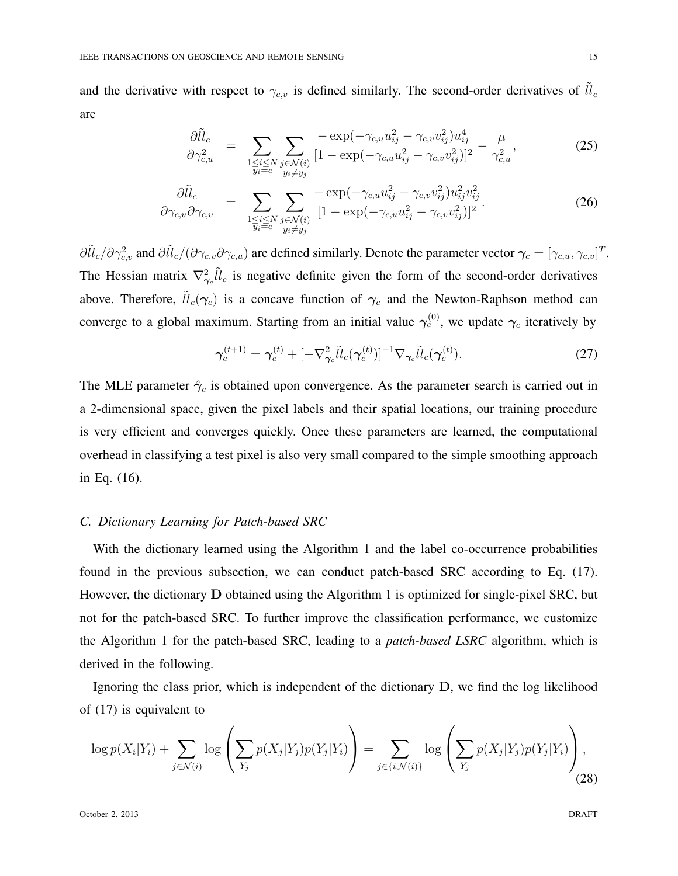and the derivative with respect to  $\gamma_{c,v}$  is defined similarly. The second-order derivatives of  $\tilde{ll}_c$ are

$$
\frac{\partial \tilde{ll}_c}{\partial \gamma_{c,u}^2} = \sum_{\substack{1 \le i \le N \\ y_i = c}} \sum_{\substack{j \in \mathcal{N}(i) \\ y_i \neq y_j}} \frac{-\exp(-\gamma_{c,u} u_{ij}^2 - \gamma_{c,v} v_{ij}^2) u_{ij}^4}{[1 - \exp(-\gamma_{c,u} u_{ij}^2 - \gamma_{c,v} v_{ij}^2)]^2} - \frac{\mu}{\gamma_{c,u}^2},
$$
\n(25)

$$
\frac{\partial \tilde{ll}_c}{\partial \gamma_{c,u} \partial \gamma_{c,v}} = \sum_{\substack{1 \le i \le N \\ y_i = c}} \sum_{\substack{j \in \mathcal{N}(i) \\ y_i \neq y_j}} \frac{-\exp(-\gamma_{c,u} u_{ij}^2 - \gamma_{c,v} v_{ij}^2) u_{ij}^2 v_{ij}^2}{[1 - \exp(-\gamma_{c,u} u_{ij}^2 - \gamma_{c,v} v_{ij}^2)]^2}.
$$
\n(26)

 $\partial \tilde{l}l_c/\partial \gamma_{c,v}^2$  and  $\partial \tilde{l}l_c/(\partial \gamma_{c,v}\partial \gamma_{c,u})$  are defined similarly. Denote the parameter vector  $\boldsymbol{\gamma}_c = [\gamma_{c,u},\gamma_{c,v}]^T$ . The Hessian matrix  $\nabla^2_{\gamma_c} \tilde{l}l_c$  is negative definite given the form of the second-order derivatives above. Therefore,  $\tilde{ll}_c(\gamma_c)$  is a concave function of  $\gamma_c$  and the Newton-Raphson method can converge to a global maximum. Starting from an initial value  $\gamma_c^{(0)}$ , we update  $\gamma_c$  iteratively by

$$
\boldsymbol{\gamma}_c^{(t+1)} = \boldsymbol{\gamma}_c^{(t)} + [-\nabla_{\boldsymbol{\gamma}_c}^2 \tilde{\mathcal{U}}_c(\boldsymbol{\gamma}_c^{(t)})]^{-1} \nabla_{\boldsymbol{\gamma}_c} \tilde{\mathcal{U}}_c(\boldsymbol{\gamma}_c^{(t)}).
$$
\n(27)

The MLE parameter  $\hat{\gamma}_c$  is obtained upon convergence. As the parameter search is carried out in a 2-dimensional space, given the pixel labels and their spatial locations, our training procedure is very efficient and converges quickly. Once these parameters are learned, the computational overhead in classifying a test pixel is also very small compared to the simple smoothing approach in Eq. (16).

#### *C. Dictionary Learning for Patch-based SRC*

With the dictionary learned using the Algorithm 1 and the label co-occurrence probabilities found in the previous subsection, we can conduct patch-based SRC according to Eq. (17). However, the dictionary **D** obtained using the Algorithm 1 is optimized for single-pixel SRC, but not for the patch-based SRC. To further improve the classification performance, we customize the Algorithm 1 for the patch-based SRC, leading to a *patch-based LSRC* algorithm, which is derived in the following.

Ignoring the class prior, which is independent of the dictionary **D**, we find the log likelihood of (17) is equivalent to

$$
\log p(X_i|Y_i) + \sum_{j \in \mathcal{N}(i)} \log \left( \sum_{Y_j} p(X_j|Y_j)p(Y_j|Y_i) \right) = \sum_{j \in \{i, \mathcal{N}(i)\}} \log \left( \sum_{Y_j} p(X_j|Y_j)p(Y_j|Y_i) \right),\tag{28}
$$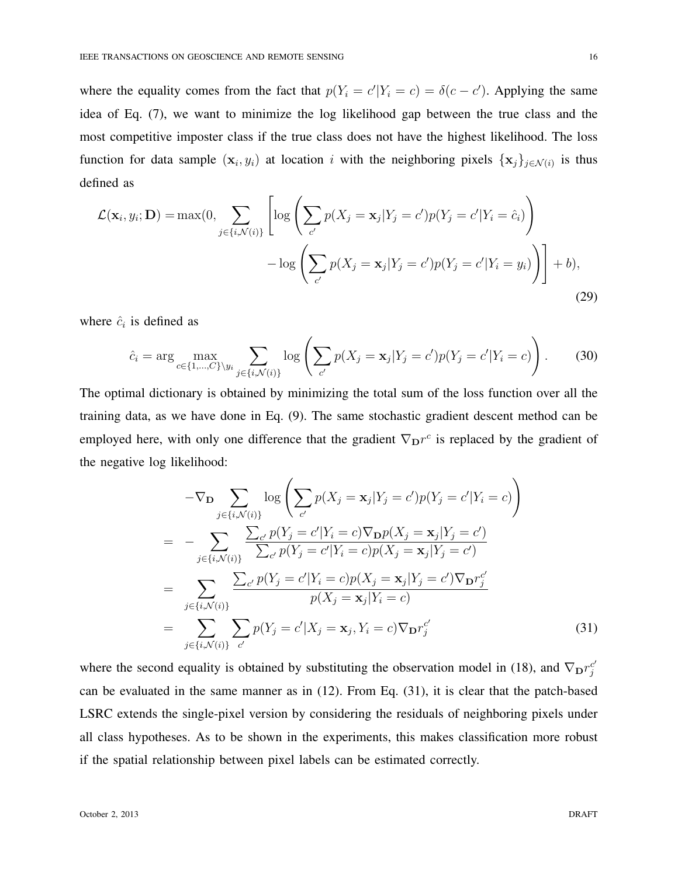where the equality comes from the fact that  $p(Y_i = c'|Y_i = c) = \delta(c - c')$ . Applying the same idea of Eq. (7), we want to minimize the log likelihood gap between the true class and the most competitive imposter class if the true class does not have the highest likelihood. The loss function for data sample  $(\mathbf{x}_i, y_i)$  at location *i* with the neighboring pixels  $\{\mathbf{x}_j\}_{j \in \mathcal{N}(i)}$  is thus defined as

$$
\mathcal{L}(\mathbf{x}_i, y_i; \mathbf{D}) = \max(0, \sum_{j \in \{i, \mathcal{N}(i)\}} \left[ \log \left( \sum_{c'} p(X_j = \mathbf{x}_j | Y_j = c') p(Y_j = c' | Y_i = \hat{c}_i) \right) - \log \left( \sum_{c'} p(X_j = \mathbf{x}_j | Y_j = c') p(Y_j = c' | Y_i = y_i) \right) \right] + b), \tag{29}
$$

where  $\hat{c}_i$  is defined as

$$
\hat{c}_i = \arg \max_{c \in \{1, \dots, C\} \setminus y_i} \sum_{j \in \{i, \mathcal{N}(i)\}} \log \left( \sum_{c'} p(X_j = \mathbf{x}_j | Y_j = c') p(Y_j = c' | Y_i = c) \right). \tag{30}
$$

The optimal dictionary is obtained by minimizing the total sum of the loss function over all the training data, as we have done in Eq. (9). The same stochastic gradient descent method can be employed here, with only one difference that the gradient  $\nabla_{\mathbf{D}}r^c$  is replaced by the gradient of the negative log likelihood:

$$
-\nabla_{\mathbf{D}} \sum_{j \in \{i,\mathcal{N}(i)\}} \log \left( \sum_{c'} p(X_j = \mathbf{x}_j | Y_j = c') p(Y_j = c' | Y_i = c) \right)
$$
  
\n
$$
= -\sum_{j \in \{i,\mathcal{N}(i)\}} \sum_{c'} p(Y_j = c' | Y_i = c) \nabla_{\mathbf{D}} p(X_j = \mathbf{x}_j | Y_j = c') \sum_{c'} p(Y_j = c' | Y_i = c) p(X_j = \mathbf{x}_j | Y_j = c')
$$
  
\n
$$
= \sum_{j \in \{i,\mathcal{N}(i)\}} \sum_{c'} p(Y_j = c' | Y_i = c) p(X_j = \mathbf{x}_j | Y_j = c') \nabla_{\mathbf{D}} r_j^{c'}
$$
  
\n
$$
= \sum_{j \in \{i,\mathcal{N}(i)\}} \sum_{c'} p(Y_j = c' | X_j = \mathbf{x}_j, Y_i = c) \nabla_{\mathbf{D}} r_j^{c'}
$$
(31)

where the second equality is obtained by substituting the observation model in (18), and  $\nabla_{\mathbf{D}} r_j^{c'}$ can be evaluated in the same manner as in (12). From Eq. (31), it is clear that the patch-based LSRC extends the single-pixel version by considering the residuals of neighboring pixels under all class hypotheses. As to be shown in the experiments, this makes classification more robust if the spatial relationship between pixel labels can be estimated correctly.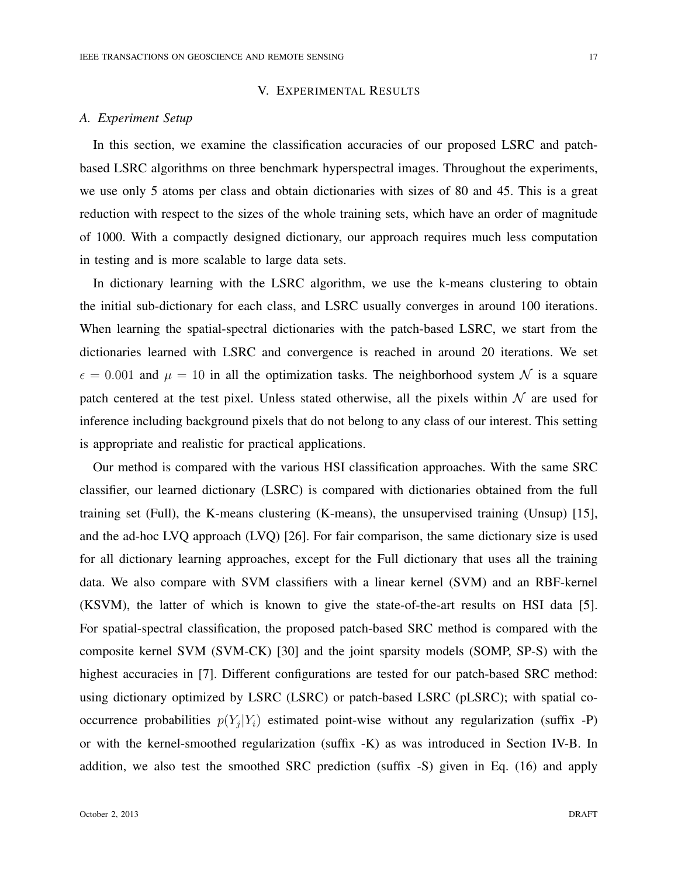# V. EXPERIMENTAL RESULTS

#### *A. Experiment Setup*

In this section, we examine the classification accuracies of our proposed LSRC and patchbased LSRC algorithms on three benchmark hyperspectral images. Throughout the experiments, we use only 5 atoms per class and obtain dictionaries with sizes of 80 and 45. This is a great reduction with respect to the sizes of the whole training sets, which have an order of magnitude of 1000. With a compactly designed dictionary, our approach requires much less computation in testing and is more scalable to large data sets.

In dictionary learning with the LSRC algorithm, we use the k-means clustering to obtain the initial sub-dictionary for each class, and LSRC usually converges in around 100 iterations. When learning the spatial-spectral dictionaries with the patch-based LSRC, we start from the dictionaries learned with LSRC and convergence is reached in around 20 iterations. We set  $\epsilon = 0.001$  and  $\mu = 10$  in all the optimization tasks. The neighborhood system N is a square patch centered at the test pixel. Unless stated otherwise, all the pixels within  $N$  are used for inference including background pixels that do not belong to any class of our interest. This setting is appropriate and realistic for practical applications.

Our method is compared with the various HSI classification approaches. With the same SRC classifier, our learned dictionary (LSRC) is compared with dictionaries obtained from the full training set (Full), the K-means clustering (K-means), the unsupervised training (Unsup) [15], and the ad-hoc LVQ approach (LVQ) [26]. For fair comparison, the same dictionary size is used for all dictionary learning approaches, except for the Full dictionary that uses all the training data. We also compare with SVM classifiers with a linear kernel (SVM) and an RBF-kernel (KSVM), the latter of which is known to give the state-of-the-art results on HSI data [5]. For spatial-spectral classification, the proposed patch-based SRC method is compared with the composite kernel SVM (SVM-CK) [30] and the joint sparsity models (SOMP, SP-S) with the highest accuracies in [7]. Different configurations are tested for our patch-based SRC method: using dictionary optimized by LSRC (LSRC) or patch-based LSRC (pLSRC); with spatial cooccurrence probabilities  $p(Y_j|Y_i)$  estimated point-wise without any regularization (suffix -P) or with the kernel-smoothed regularization (suffix -K) as was introduced in Section IV-B. In addition, we also test the smoothed SRC prediction (suffix -S) given in Eq. (16) and apply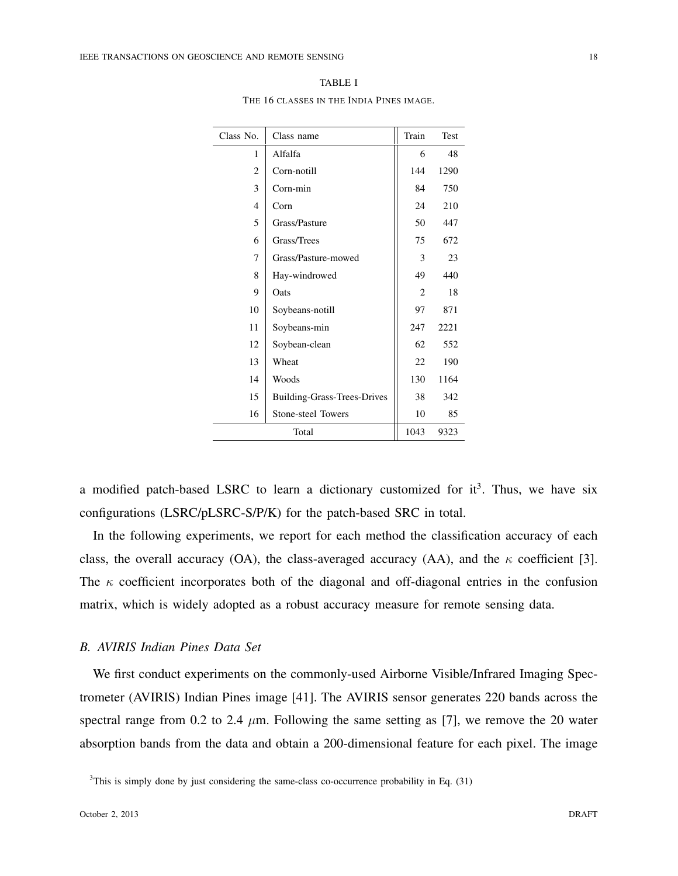| Class No.      | Class name                         | Train          | Test |
|----------------|------------------------------------|----------------|------|
| 1              | Alfalfa                            | 6              | 48   |
| 2              | Corn-notill                        | 144            | 1290 |
| 3              | Corn-min                           | 84             | 750  |
| $\overline{4}$ | Corn                               | 24             | 210  |
| 5              | Grass/Pasture                      | 50             | 447  |
| 6              | Grass/Trees                        | 75             | 672  |
| 7              | Grass/Pasture-mowed                | 3              | 23   |
| 8              | Hay-windrowed                      | 49             | 440  |
| 9              | Oats                               | $\overline{c}$ | 18   |
| 10             | Soybeans-notill                    | 97             | 871  |
| 11             | Soybeans-min                       | 247            | 2221 |
| 12             | Soybean-clean                      | 62             | 552  |
| 13             | Wheat                              | 22             | 190  |
| 14             | Woods                              | 130            | 1164 |
| 15             | <b>Building-Grass-Trees-Drives</b> | 38             | 342  |
| 16             | Stone-steel Towers                 | 10             | 85   |
|                | Total                              | 1043           | 9323 |

TABLE I THE 16 CLASSES IN THE INDIA PINES IMAGE.

a modified patch-based LSRC to learn a dictionary customized for  $it^3$ . Thus, we have six configurations (LSRC/pLSRC-S/P/K) for the patch-based SRC in total.

In the following experiments, we report for each method the classification accuracy of each class, the overall accuracy (OA), the class-averaged accuracy (AA), and the *κ* coefficient [3]. The  $\kappa$  coefficient incorporates both of the diagonal and off-diagonal entries in the confusion matrix, which is widely adopted as a robust accuracy measure for remote sensing data.

# *B. AVIRIS Indian Pines Data Set*

We first conduct experiments on the commonly-used Airborne Visible/Infrared Imaging Spectrometer (AVIRIS) Indian Pines image [41]. The AVIRIS sensor generates 220 bands across the spectral range from 0.2 to 2.4  $\mu$ m. Following the same setting as [7], we remove the 20 water absorption bands from the data and obtain a 200-dimensional feature for each pixel. The image

 $3$ This is simply done by just considering the same-class co-occurrence probability in Eq.  $(31)$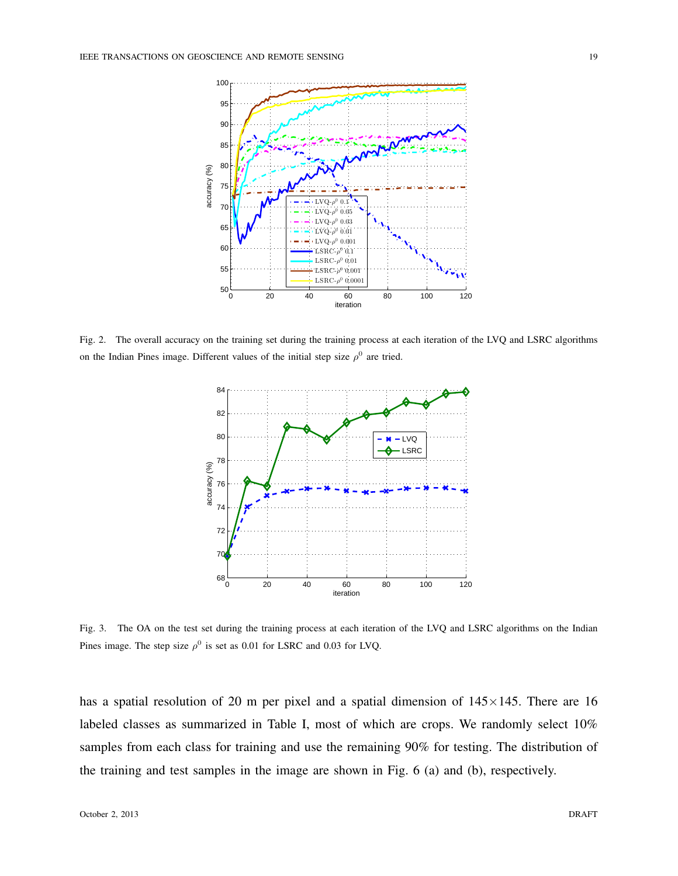

Fig. 2. The overall accuracy on the training set during the training process at each iteration of the LVQ and LSRC algorithms on the Indian Pines image. Different values of the initial step size  $\rho^0$  are tried.



Fig. 3. The OA on the test set during the training process at each iteration of the LVQ and LSRC algorithms on the Indian Pines image. The step size  $\rho^0$  is set as 0.01 for LSRC and 0.03 for LVQ.

has a spatial resolution of 20 m per pixel and a spatial dimension of 145*×*145. There are 16 labeled classes as summarized in Table I, most of which are crops. We randomly select 10% samples from each class for training and use the remaining 90% for testing. The distribution of the training and test samples in the image are shown in Fig. 6 (a) and (b), respectively.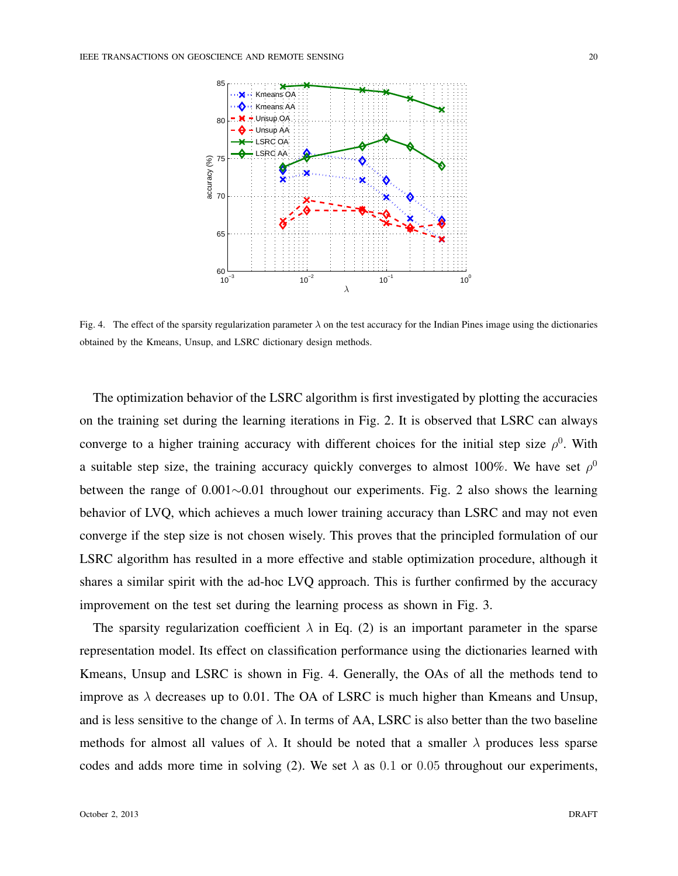

Fig. 4. The effect of the sparsity regularization parameter *λ* on the test accuracy for the Indian Pines image using the dictionaries obtained by the Kmeans, Unsup, and LSRC dictionary design methods.

The optimization behavior of the LSRC algorithm is first investigated by plotting the accuracies on the training set during the learning iterations in Fig. 2. It is observed that LSRC can always converge to a higher training accuracy with different choices for the initial step size  $\rho^0$ . With a suitable step size, the training accuracy quickly converges to almost 100%. We have set  $\rho^0$ between the range of 0.001*∼*0.01 throughout our experiments. Fig. 2 also shows the learning behavior of LVQ, which achieves a much lower training accuracy than LSRC and may not even converge if the step size is not chosen wisely. This proves that the principled formulation of our LSRC algorithm has resulted in a more effective and stable optimization procedure, although it shares a similar spirit with the ad-hoc LVQ approach. This is further confirmed by the accuracy improvement on the test set during the learning process as shown in Fig. 3.

The sparsity regularization coefficient  $\lambda$  in Eq. (2) is an important parameter in the sparse representation model. Its effect on classification performance using the dictionaries learned with Kmeans, Unsup and LSRC is shown in Fig. 4. Generally, the OAs of all the methods tend to improve as  $\lambda$  decreases up to 0.01. The OA of LSRC is much higher than Kmeans and Unsup, and is less sensitive to the change of  $\lambda$ . In terms of AA, LSRC is also better than the two baseline methods for almost all values of  $\lambda$ . It should be noted that a smaller  $\lambda$  produces less sparse codes and adds more time in solving (2). We set  $\lambda$  as 0.1 or 0.05 throughout our experiments,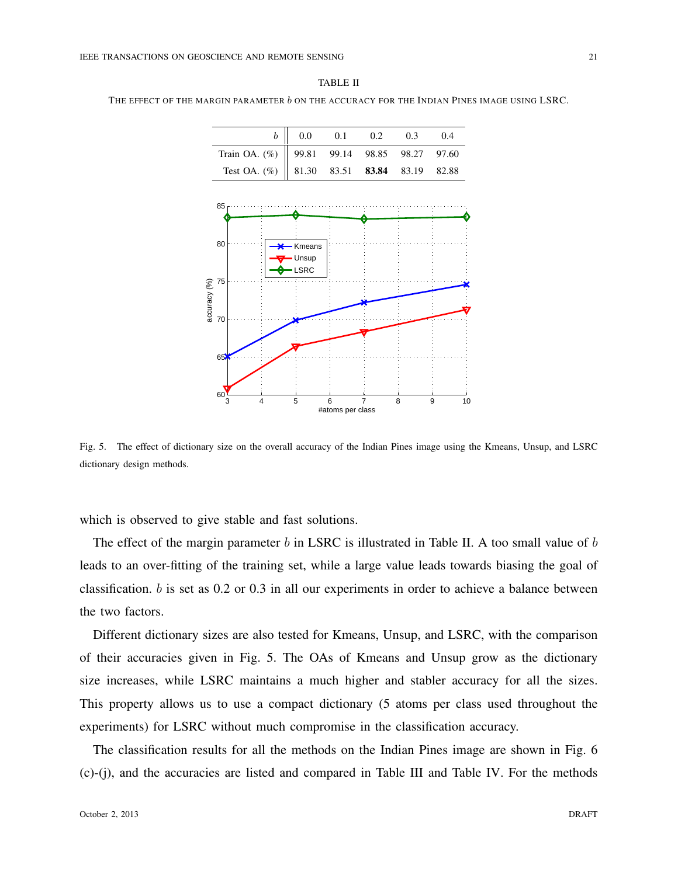| Train OA. (%)<br>Test OA. $(\%)$ | 99.81                | 99.14 | 98.85 |       |       |
|----------------------------------|----------------------|-------|-------|-------|-------|
|                                  |                      |       |       | 98.27 | 97.60 |
|                                  | 81.30                | 83.51 | 83.84 | 83.19 | 82.88 |
|                                  | Kmeans               |       |       |       |       |
| 80                               |                      |       |       |       |       |
| 75                               | Unsup<br><b>LSRC</b> |       |       |       |       |
|                                  |                      |       |       |       |       |

TABLE II THE EFFECT OF THE MARGIN PARAMETER *b* ON THE ACCURACY FOR THE INDIAN PINES IMAGE USING LSRC.

Fig. 5. The effect of dictionary size on the overall accuracy of the Indian Pines image using the Kmeans, Unsup, and LSRC dictionary design methods.

3 4 5 6 7 8 9 10

#atoms per class

which is observed to give stable and fast solutions.

 $60\frac{6}{3}$ 

65

70

The effect of the margin parameter *b* in LSRC is illustrated in Table II. A too small value of *b* leads to an over-fitting of the training set, while a large value leads towards biasing the goal of classification. *b* is set as 0.2 or 0.3 in all our experiments in order to achieve a balance between the two factors.

Different dictionary sizes are also tested for Kmeans, Unsup, and LSRC, with the comparison of their accuracies given in Fig. 5. The OAs of Kmeans and Unsup grow as the dictionary size increases, while LSRC maintains a much higher and stabler accuracy for all the sizes. This property allows us to use a compact dictionary (5 atoms per class used throughout the experiments) for LSRC without much compromise in the classification accuracy.

The classification results for all the methods on the Indian Pines image are shown in Fig. 6 (c)-(j), and the accuracies are listed and compared in Table III and Table IV. For the methods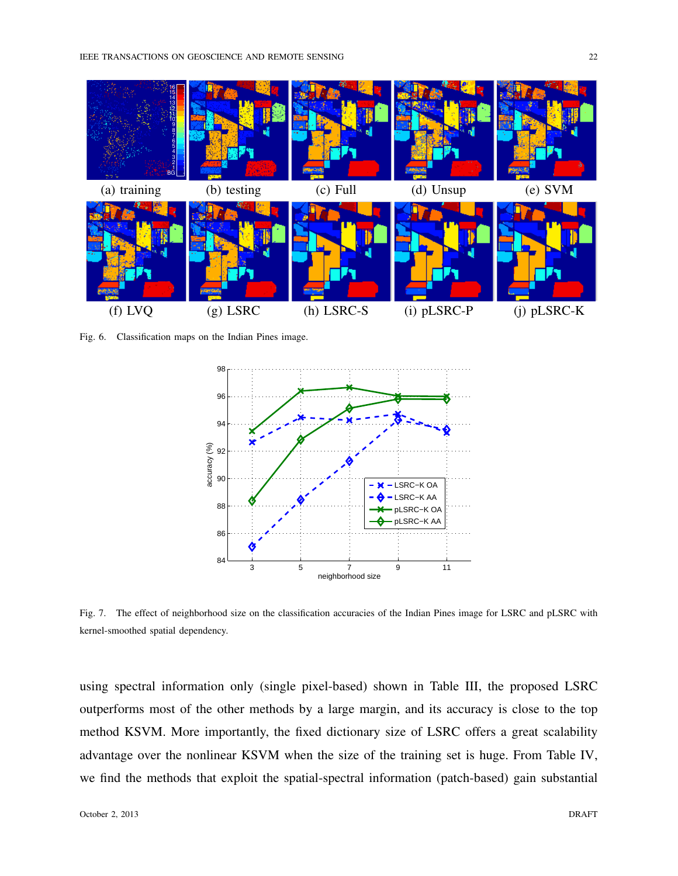

Fig. 6. Classification maps on the Indian Pines image.



Fig. 7. The effect of neighborhood size on the classification accuracies of the Indian Pines image for LSRC and pLSRC with kernel-smoothed spatial dependency.

using spectral information only (single pixel-based) shown in Table III, the proposed LSRC outperforms most of the other methods by a large margin, and its accuracy is close to the top method KSVM. More importantly, the fixed dictionary size of LSRC offers a great scalability advantage over the nonlinear KSVM when the size of the training set is huge. From Table IV, we find the methods that exploit the spatial-spectral information (patch-based) gain substantial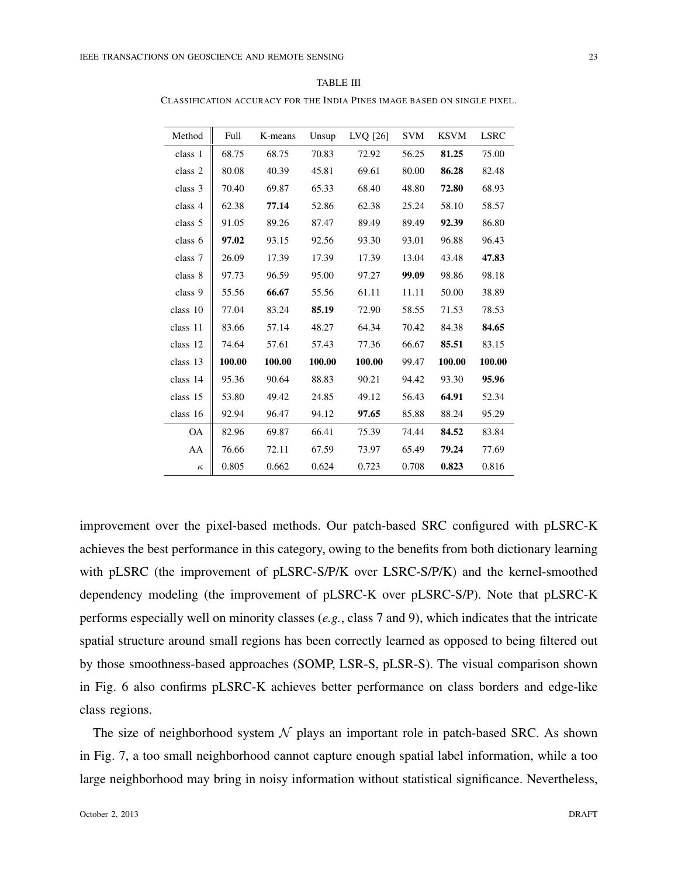| О<br>، n. |
|-----------|
|-----------|

CLASSIFICATION ACCURACY FOR THE INDIA PINES IMAGE BASED ON SINGLE PIXEL.

| Method    | Full   | K-means | Unsup  | LVQ [26] | <b>SVM</b> | <b>KSVM</b> | <b>LSRC</b> |
|-----------|--------|---------|--------|----------|------------|-------------|-------------|
| class 1   | 68.75  | 68.75   | 70.83  | 72.92    | 56.25      | 81.25       | 75.00       |
| class 2   | 80.08  | 40.39   | 45.81  | 69.61    | 80.00      | 86.28       | 82.48       |
| class 3   | 70.40  | 69.87   | 65.33  | 68.40    | 48.80      | 72.80       | 68.93       |
| class 4   | 62.38  | 77.14   | 52.86  | 62.38    | 25.24      | 58.10       | 58.57       |
| class 5   | 91.05  | 89.26   | 87.47  | 89.49    | 89.49      | 92.39       | 86.80       |
| class 6   | 97.02  | 93.15   | 92.56  | 93.30    | 93.01      | 96.88       | 96.43       |
| class 7   | 26.09  | 17.39   | 17.39  | 17.39    | 13.04      | 43.48       | 47.83       |
| class 8   | 97.73  | 96.59   | 95.00  | 97.27    | 99.09      | 98.86       | 98.18       |
| class 9   | 55.56  | 66.67   | 55.56  | 61.11    | 11.11      | 50.00       | 38.89       |
| class 10  | 77.04  | 83.24   | 85.19  | 72.90    | 58.55      | 71.53       | 78.53       |
| class 11  | 83.66  | 57.14   | 48.27  | 64.34    | 70.42      | 84.38       | 84.65       |
| class 12  | 74.64  | 57.61   | 57.43  | 77.36    | 66.67      | 85.51       | 83.15       |
| class 13  | 100.00 | 100.00  | 100.00 | 100.00   | 99.47      | 100.00      | 100.00      |
| class 14  | 95.36  | 90.64   | 88.83  | 90.21    | 94.42      | 93.30       | 95.96       |
| class 15  | 53.80  | 49.42   | 24.85  | 49.12    | 56.43      | 64.91       | 52.34       |
| class 16  | 92.94  | 96.47   | 94.12  | 97.65    | 85.88      | 88.24       | 95.29       |
| <b>OA</b> | 82.96  | 69.87   | 66.41  | 75.39    | 74.44      | 84.52       | 83.84       |
| AA        | 76.66  | 72.11   | 67.59  | 73.97    | 65.49      | 79.24       | 77.69       |
| $\kappa$  | 0.805  | 0.662   | 0.624  | 0.723    | 0.708      | 0.823       | 0.816       |

improvement over the pixel-based methods. Our patch-based SRC configured with pLSRC-K achieves the best performance in this category, owing to the benefits from both dictionary learning with pLSRC (the improvement of pLSRC-S/P/K over LSRC-S/P/K) and the kernel-smoothed dependency modeling (the improvement of pLSRC-K over pLSRC-S/P). Note that pLSRC-K performs especially well on minority classes (*e.g.*, class 7 and 9), which indicates that the intricate spatial structure around small regions has been correctly learned as opposed to being filtered out by those smoothness-based approaches (SOMP, LSR-S, pLSR-S). The visual comparison shown in Fig. 6 also confirms pLSRC-K achieves better performance on class borders and edge-like class regions.

The size of neighborhood system  $N$  plays an important role in patch-based SRC. As shown in Fig. 7, a too small neighborhood cannot capture enough spatial label information, while a too large neighborhood may bring in noisy information without statistical significance. Nevertheless,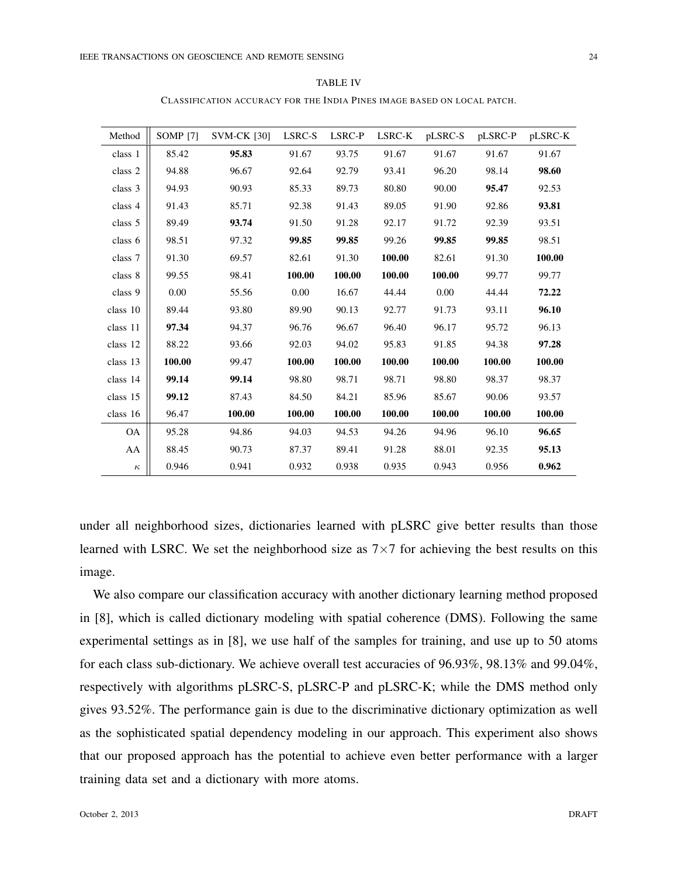CLASSIFICATION ACCURACY FOR THE INDIA PINES IMAGE BASED ON LOCAL PATCH.

| Method    | SOMP <sup>[7]</sup> | <b>SVM-CK [30]</b> | LSRC-S | LSRC-P | LSRC-K | pLSRC-S  | pLSRC-P | pLSRC-K |
|-----------|---------------------|--------------------|--------|--------|--------|----------|---------|---------|
| class 1   | 85.42               | 95.83              | 91.67  | 93.75  | 91.67  | 91.67    | 91.67   | 91.67   |
| class 2   | 94.88               | 96.67              | 92.64  | 92.79  | 93.41  | 96.20    | 98.14   | 98.60   |
| class 3   | 94.93               | 90.93              | 85.33  | 89.73  | 80.80  | 90.00    | 95.47   | 92.53   |
| class 4   | 91.43               | 85.71              | 92.38  | 91.43  | 89.05  | 91.90    | 92.86   | 93.81   |
| class 5   | 89.49               | 93.74              | 91.50  | 91.28  | 92.17  | 91.72    | 92.39   | 93.51   |
| class 6   | 98.51               | 97.32              | 99.85  | 99.85  | 99.26  | 99.85    | 99.85   | 98.51   |
| class 7   | 91.30               | 69.57              | 82.61  | 91.30  | 100.00 | 82.61    | 91.30   | 100.00  |
| class 8   | 99.55               | 98.41              | 100.00 | 100.00 | 100.00 | 100.00   | 99.77   | 99.77   |
| class 9   | 0.00                | 55.56              | 0.00   | 16.67  | 44.44  | $0.00\,$ | 44.44   | 72.22   |
| class 10  | 89.44               | 93.80              | 89.90  | 90.13  | 92.77  | 91.73    | 93.11   | 96.10   |
| class 11  | 97.34               | 94.37              | 96.76  | 96.67  | 96.40  | 96.17    | 95.72   | 96.13   |
| class 12  | 88.22               | 93.66              | 92.03  | 94.02  | 95.83  | 91.85    | 94.38   | 97.28   |
| class 13  | 100.00              | 99.47              | 100.00 | 100.00 | 100.00 | 100.00   | 100.00  | 100.00  |
| class 14  | 99.14               | 99.14              | 98.80  | 98.71  | 98.71  | 98.80    | 98.37   | 98.37   |
| class 15  | 99.12               | 87.43              | 84.50  | 84.21  | 85.96  | 85.67    | 90.06   | 93.57   |
| class 16  | 96.47               | 100.00             | 100.00 | 100.00 | 100.00 | 100.00   | 100.00  | 100.00  |
| <b>OA</b> | 95.28               | 94.86              | 94.03  | 94.53  | 94.26  | 94.96    | 96.10   | 96.65   |
| AA        | 88.45               | 90.73              | 87.37  | 89.41  | 91.28  | 88.01    | 92.35   | 95.13   |
| $\kappa$  | 0.946               | 0.941              | 0.932  | 0.938  | 0.935  | 0.943    | 0.956   | 0.962   |

under all neighborhood sizes, dictionaries learned with pLSRC give better results than those learned with LSRC. We set the neighborhood size as 7*×*7 for achieving the best results on this image.

We also compare our classification accuracy with another dictionary learning method proposed in [8], which is called dictionary modeling with spatial coherence (DMS). Following the same experimental settings as in [8], we use half of the samples for training, and use up to 50 atoms for each class sub-dictionary. We achieve overall test accuracies of 96.93%, 98.13% and 99.04%, respectively with algorithms pLSRC-S, pLSRC-P and pLSRC-K; while the DMS method only gives 93.52%. The performance gain is due to the discriminative dictionary optimization as well as the sophisticated spatial dependency modeling in our approach. This experiment also shows that our proposed approach has the potential to achieve even better performance with a larger training data set and a dictionary with more atoms.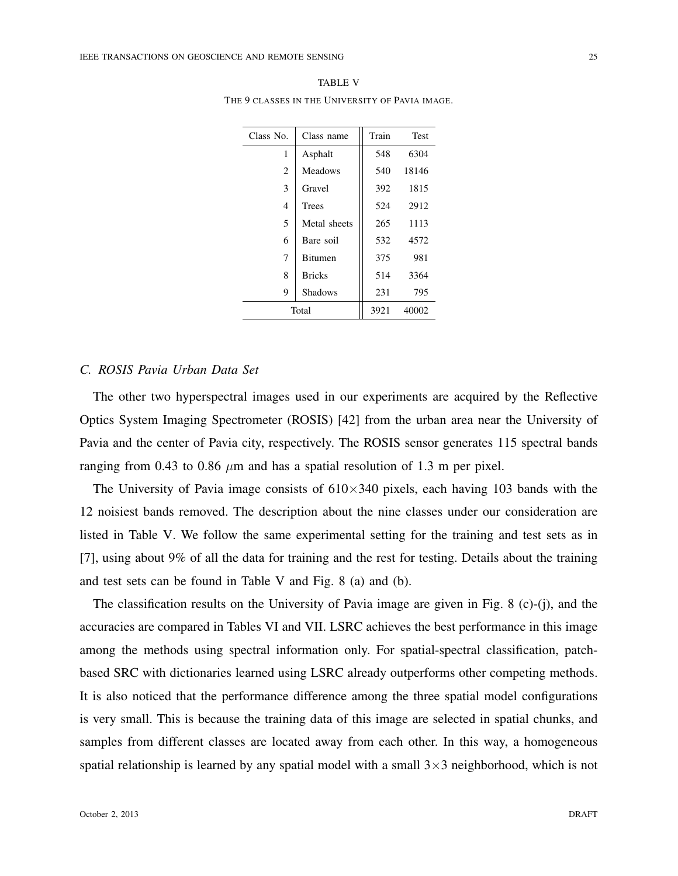| Class No. | Class name                       | Train | <b>Test</b> |
|-----------|----------------------------------|-------|-------------|
| 1         | Asphalt                          | 548   | 6304        |
| 2         | <b>Meadows</b>                   | 540   | 18146       |
| 3         | Gravel                           | 392   | 1815        |
| 4         | <b>Trees</b>                     | 524   | 2912        |
| 5         | Metal sheets                     |       | 1113        |
| 6         | Bare soil<br>7<br><b>Bitumen</b> |       | 4572        |
|           |                                  |       | 981         |
| 8         | <b>Bricks</b>                    | 514   | 3364        |
| 9         | 231                              | 795   |             |
|           | Total                            | 3921  | 40002       |

TABLE V THE 9 CLASSES IN THE UNIVERSITY OF PAVIA IMAGE.

#### *C. ROSIS Pavia Urban Data Set*

The other two hyperspectral images used in our experiments are acquired by the Reflective Optics System Imaging Spectrometer (ROSIS) [42] from the urban area near the University of Pavia and the center of Pavia city, respectively. The ROSIS sensor generates 115 spectral bands ranging from 0.43 to 0.86  $\mu$ m and has a spatial resolution of 1.3 m per pixel.

The University of Pavia image consists of 610*×*340 pixels, each having 103 bands with the 12 noisiest bands removed. The description about the nine classes under our consideration are listed in Table V. We follow the same experimental setting for the training and test sets as in [7], using about 9% of all the data for training and the rest for testing. Details about the training and test sets can be found in Table V and Fig. 8 (a) and (b).

The classification results on the University of Pavia image are given in Fig. 8 (c)-(j), and the accuracies are compared in Tables VI and VII. LSRC achieves the best performance in this image among the methods using spectral information only. For spatial-spectral classification, patchbased SRC with dictionaries learned using LSRC already outperforms other competing methods. It is also noticed that the performance difference among the three spatial model configurations is very small. This is because the training data of this image are selected in spatial chunks, and samples from different classes are located away from each other. In this way, a homogeneous spatial relationship is learned by any spatial model with a small 3*×*3 neighborhood, which is not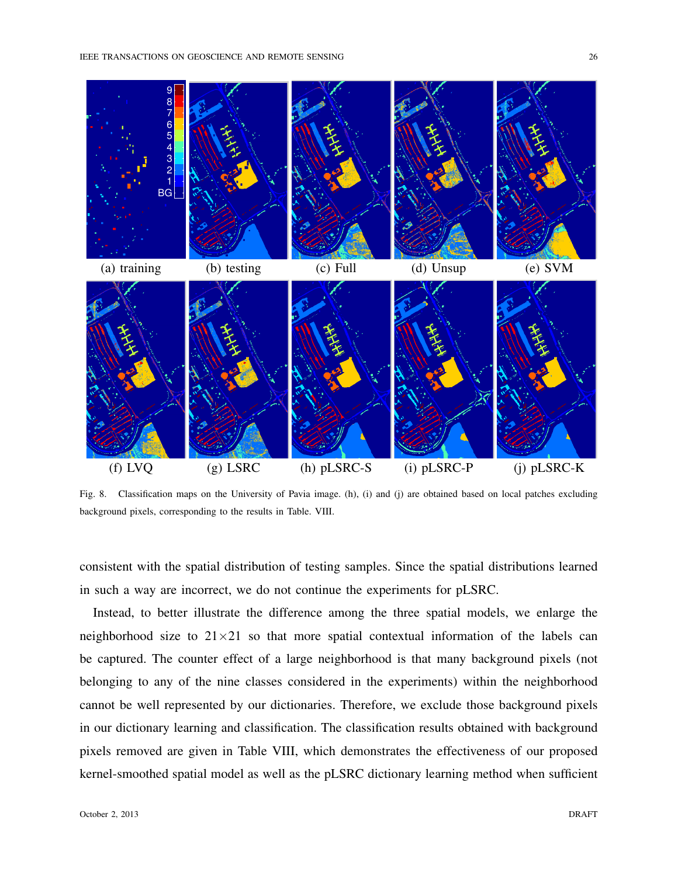

Fig. 8. Classification maps on the University of Pavia image. (h), (i) and (j) are obtained based on local patches excluding background pixels, corresponding to the results in Table. VIII.

consistent with the spatial distribution of testing samples. Since the spatial distributions learned in such a way are incorrect, we do not continue the experiments for pLSRC.

Instead, to better illustrate the difference among the three spatial models, we enlarge the neighborhood size to  $21 \times 21$  so that more spatial contextual information of the labels can be captured. The counter effect of a large neighborhood is that many background pixels (not belonging to any of the nine classes considered in the experiments) within the neighborhood cannot be well represented by our dictionaries. Therefore, we exclude those background pixels in our dictionary learning and classification. The classification results obtained with background pixels removed are given in Table VIII, which demonstrates the effectiveness of our proposed kernel-smoothed spatial model as well as the pLSRC dictionary learning method when sufficient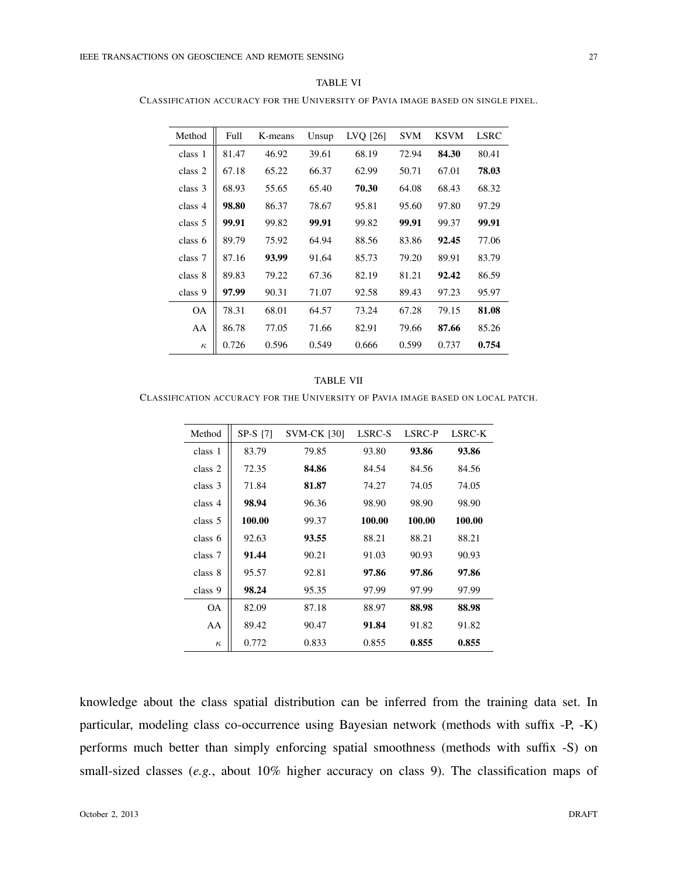| ъ. |  |
|----|--|
|----|--|

CLASSIFICATION ACCURACY FOR THE UNIVERSITY OF PAVIA IMAGE BASED ON SINGLE PIXEL.

| Method    | Full  | K-means | Unsup | LVQ [26] | <b>SVM</b> | <b>KSVM</b> | <b>LSRC</b> |
|-----------|-------|---------|-------|----------|------------|-------------|-------------|
| class 1   | 81.47 | 46.92   | 39.61 | 68.19    | 72.94      | 84.30       | 80.41       |
| class 2   | 67.18 | 65.22   | 66.37 | 62.99    | 50.71      | 67.01       | 78.03       |
| class 3   | 68.93 | 55.65   | 65.40 | 70.30    | 64.08      | 68.43       | 68.32       |
| class 4   | 98.80 | 86.37   | 78.67 | 95.81    | 95.60      | 97.80       | 97.29       |
| class 5   | 99.91 | 99.82   | 99.91 | 99.82    | 99.91      | 99.37       | 99.91       |
| class 6   | 89.79 | 75.92   | 64.94 | 88.56    | 83.86      | 92.45       | 77.06       |
| class 7   | 87.16 | 93.99   | 91.64 | 85.73    | 79.20      | 89.91       | 83.79       |
| class 8   | 89.83 | 79.22   | 67.36 | 82.19    | 81.21      | 92.42       | 86.59       |
| class 9   | 97.99 | 90.31   | 71.07 | 92.58    | 89.43      | 97.23       | 95.97       |
| <b>OA</b> | 78.31 | 68.01   | 64.57 | 73.24    | 67.28      | 79.15       | 81.08       |
| AA        | 86.78 | 77.05   | 71.66 | 82.91    | 79.66      | 87.66       | 85.26       |
| $\kappa$  | 0.726 | 0.596   | 0.549 | 0.666    | 0.599      | 0.737       | 0.754       |

#### TABLE VII

CLASSIFICATION ACCURACY FOR THE UNIVERSITY OF PAVIA IMAGE BASED ON LOCAL PATCH.

| Method    | SP-S [7] | <b>SVM-CK [30]</b> | LSRC-S | LSRC-P | <b>LSRC-K</b> |
|-----------|----------|--------------------|--------|--------|---------------|
| class 1   | 83.79    | 79.85              | 93.80  | 93.86  | 93.86         |
| class 2   | 72.35    | 84.86              | 84.54  | 84.56  | 84.56         |
| class 3   | 71.84    | 81.87              | 74.27  | 74.05  | 74.05         |
| class 4   | 98.94    | 96.36              | 98.90  | 98.90  | 98.90         |
| class 5   | 100.00   | 99.37              | 100.00 | 100.00 | 100.00        |
| class 6   | 92.63    | 93.55              | 88.21  | 88.21  | 88.21         |
| class 7   | 91.44    | 90.21              | 91.03  | 90.93  | 90.93         |
| class 8   | 95.57    | 92.81              | 97.86  | 97.86  | 97.86         |
| class 9   | 98.24    | 95.35              | 97.99  | 97.99  | 97.99         |
| <b>OA</b> | 82.09    | 87.18              | 88.97  | 88.98  | 88.98         |
| AA        | 89.42    | 90.47              | 91.84  | 91.82  | 91.82         |
| $\kappa$  | 0.772    | 0.833              | 0.855  | 0.855  | 0.855         |

knowledge about the class spatial distribution can be inferred from the training data set. In particular, modeling class co-occurrence using Bayesian network (methods with suffix -P, -K) performs much better than simply enforcing spatial smoothness (methods with suffix -S) on small-sized classes (*e.g.*, about 10% higher accuracy on class 9). The classification maps of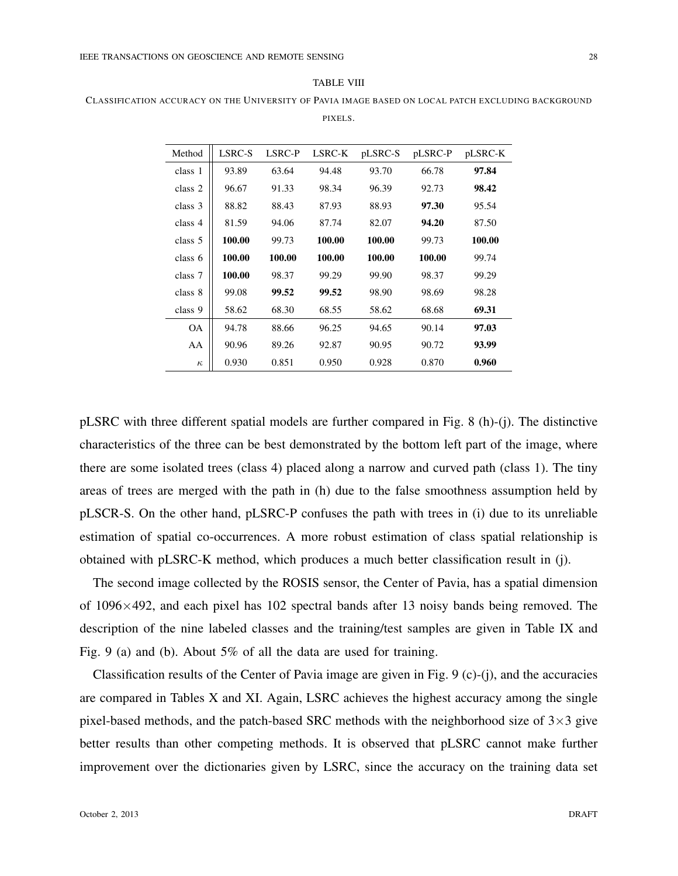| "ARL. |  |
|-------|--|
|-------|--|

CLASSIFICATION ACCURACY ON THE UNIVERSITY OF PAVIA IMAGE BASED ON LOCAL PATCH EXCLUDING BACKGROUND PIXELS.

| Method    | LSRC-S | LSRC-P | LSRC-K | pLSRC-S | pLSRC-P | pLSRC-K |
|-----------|--------|--------|--------|---------|---------|---------|
| class 1   | 93.89  | 63.64  | 94.48  | 93.70   | 66.78   | 97.84   |
| class 2   | 96.67  | 91.33  | 98.34  | 96.39   | 92.73   | 98.42   |
| class 3   | 88.82  | 88.43  | 87.93  | 88.93   | 97.30   | 95.54   |
| class 4   | 81.59  | 94.06  | 87.74  | 82.07   | 94.20   | 87.50   |
| class 5   | 100.00 | 99.73  | 100.00 | 100.00  | 99.73   | 100.00  |
| class 6   | 100.00 | 100.00 | 100.00 | 100.00  | 100.00  | 99.74   |
| class 7   | 100.00 | 98.37  | 99.29  | 99.90   | 98.37   | 99.29   |
| class 8   | 99.08  | 99.52  | 99.52  | 98.90   | 98.69   | 98.28   |
| class 9   | 58.62  | 68.30  | 68.55  | 58.62   | 68.68   | 69.31   |
| <b>OA</b> | 94.78  | 88.66  | 96.25  | 94.65   | 90.14   | 97.03   |
| AA        | 90.96  | 89.26  | 92.87  | 90.95   | 90.72   | 93.99   |
| $\kappa$  | 0.930  | 0.851  | 0.950  | 0.928   | 0.870   | 0.960   |

pLSRC with three different spatial models are further compared in Fig. 8 (h)-(j). The distinctive characteristics of the three can be best demonstrated by the bottom left part of the image, where there are some isolated trees (class 4) placed along a narrow and curved path (class 1). The tiny areas of trees are merged with the path in (h) due to the false smoothness assumption held by pLSCR-S. On the other hand, pLSRC-P confuses the path with trees in (i) due to its unreliable estimation of spatial co-occurrences. A more robust estimation of class spatial relationship is obtained with pLSRC-K method, which produces a much better classification result in (j).

The second image collected by the ROSIS sensor, the Center of Pavia, has a spatial dimension of 1096*×*492, and each pixel has 102 spectral bands after 13 noisy bands being removed. The description of the nine labeled classes and the training/test samples are given in Table IX and Fig. 9 (a) and (b). About 5% of all the data are used for training.

Classification results of the Center of Pavia image are given in Fig. 9 (c)-(j), and the accuracies are compared in Tables X and XI. Again, LSRC achieves the highest accuracy among the single pixel-based methods, and the patch-based SRC methods with the neighborhood size of 3*×*3 give better results than other competing methods. It is observed that pLSRC cannot make further improvement over the dictionaries given by LSRC, since the accuracy on the training data set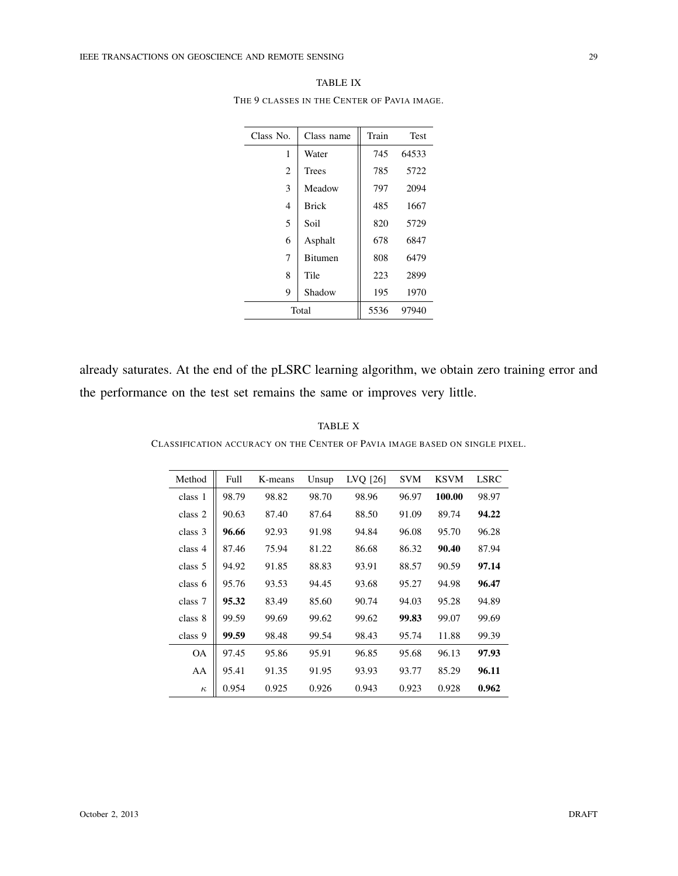|                | THE 9 CLASSES IN THE CENTER OF PAVIA IMAGE. |       |             |
|----------------|---------------------------------------------|-------|-------------|
| Class No.      | Class name                                  | Train | <b>Test</b> |
| 1              | Water                                       | 745   | 64533       |
| $\overline{c}$ | <b>Trees</b>                                | 785   | 5722        |
| 3              | Meadow                                      | 797   | 2094        |
| 4              | <b>Brick</b>                                | 485   | 1667        |
| 5              | Soil                                        | 820   | 5729        |
| 6              | Asphalt                                     | 678   | 6847        |
| 7              | Bitumen                                     | 808   | 6479        |
| 8              | Tile                                        | 223   | 2899        |

TABLE IX

already saturates. At the end of the pLSRC learning algorithm, we obtain zero training error and the performance on the test set remains the same or improves very little.

9 Shadow 195 1970 Total 5536 97940

TABLE X CLASSIFICATION ACCURACY ON THE CENTER OF PAVIA IMAGE BASED ON SINGLE PIXEL.

| Method    | Full  | K-means | Unsup | LVQ [26] | <b>SVM</b> | <b>KSVM</b> | <b>LSRC</b> |
|-----------|-------|---------|-------|----------|------------|-------------|-------------|
| class 1   | 98.79 | 98.82   | 98.70 | 98.96    | 96.97      | 100.00      | 98.97       |
| class 2   | 90.63 | 87.40   | 87.64 | 88.50    | 91.09      | 89.74       | 94.22       |
| class 3   | 96.66 | 92.93   | 91.98 | 94.84    | 96.08      | 95.70       | 96.28       |
| class 4   | 87.46 | 75.94   | 81.22 | 86.68    | 86.32      | 90.40       | 87.94       |
| class 5   | 94.92 | 91.85   | 88.83 | 93.91    | 88.57      | 90.59       | 97.14       |
| class 6   | 95.76 | 93.53   | 94.45 | 93.68    | 95.27      | 94.98       | 96.47       |
| class 7   | 95.32 | 83.49   | 85.60 | 90.74    | 94.03      | 95.28       | 94.89       |
| class 8   | 99.59 | 99.69   | 99.62 | 99.62    | 99.83      | 99.07       | 99.69       |
| class 9   | 99.59 | 98.48   | 99.54 | 98.43    | 95.74      | 11.88       | 99.39       |
| <b>OA</b> | 97.45 | 95.86   | 95.91 | 96.85    | 95.68      | 96.13       | 97.93       |
| AA        | 95.41 | 91.35   | 91.95 | 93.93    | 93.77      | 85.29       | 96.11       |
| $\kappa$  | 0.954 | 0.925   | 0.926 | 0.943    | 0.923      | 0.928       | 0.962       |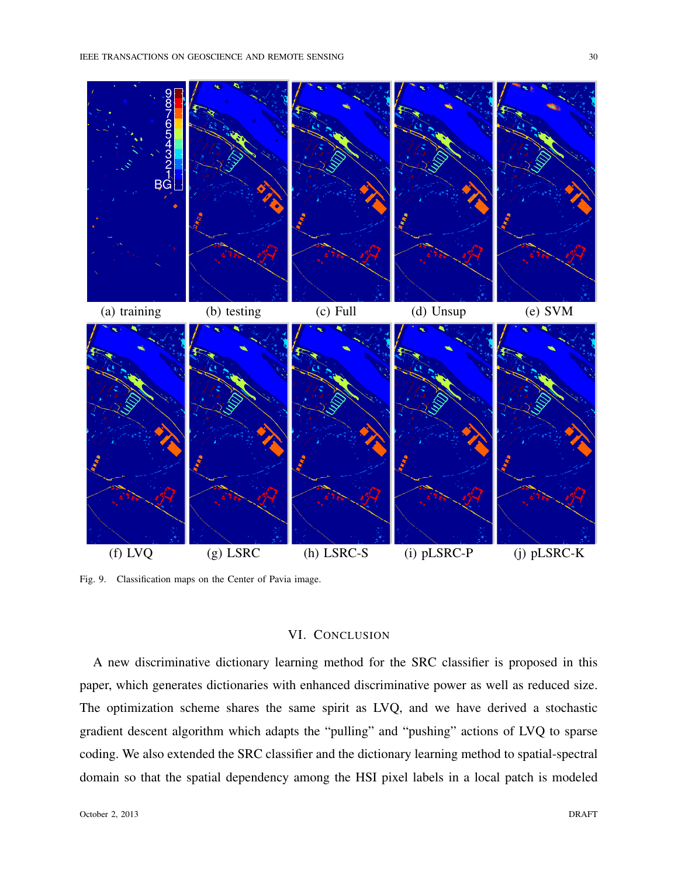



Fig. 9. Classification maps on the Center of Pavia image.

# VI. CONCLUSION

A new discriminative dictionary learning method for the SRC classifier is proposed in this paper, which generates dictionaries with enhanced discriminative power as well as reduced size. The optimization scheme shares the same spirit as LVQ, and we have derived a stochastic gradient descent algorithm which adapts the "pulling" and "pushing" actions of LVQ to sparse coding. We also extended the SRC classifier and the dictionary learning method to spatial-spectral domain so that the spatial dependency among the HSI pixel labels in a local patch is modeled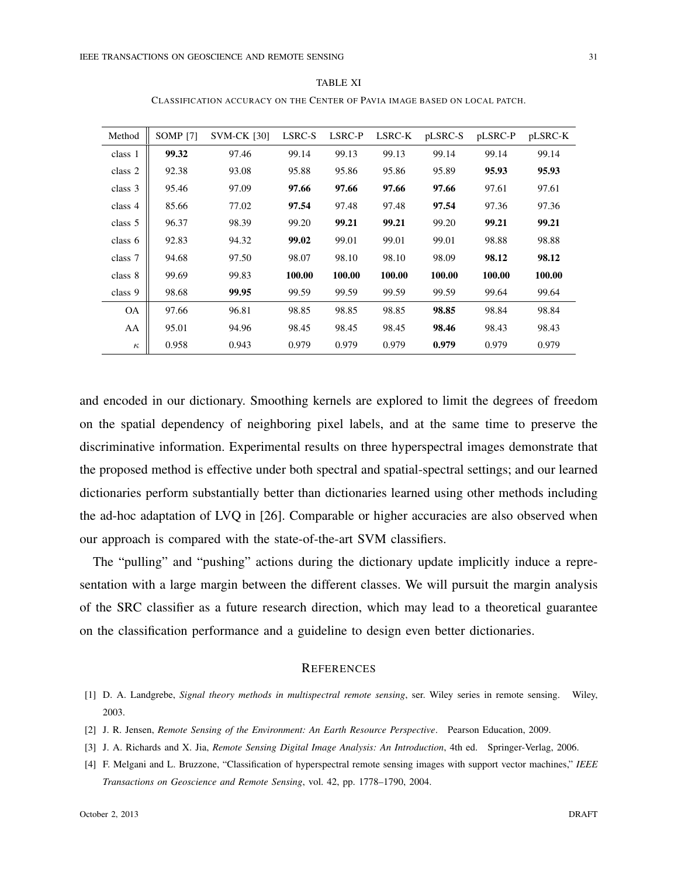| Method    | <b>SOMP</b> [7] | <b>SVM-CK [30]</b> | LSRC-S | LSRC-P | LSRC-K | pLSRC-S | pLSRC-P | pLSRC-K |
|-----------|-----------------|--------------------|--------|--------|--------|---------|---------|---------|
| class 1   | 99.32           | 97.46              | 99.14  | 99.13  | 99.13  | 99.14   | 99.14   | 99.14   |
| class 2   | 92.38           | 93.08              | 95.88  | 95.86  | 95.86  | 95.89   | 95.93   | 95.93   |
| class 3   | 95.46           | 97.09              | 97.66  | 97.66  | 97.66  | 97.66   | 97.61   | 97.61   |
| class 4   | 85.66           | 77.02              | 97.54  | 97.48  | 97.48  | 97.54   | 97.36   | 97.36   |
| class 5   | 96.37           | 98.39              | 99.20  | 99.21  | 99.21  | 99.20   | 99.21   | 99.21   |
| class $6$ | 92.83           | 94.32              | 99.02  | 99.01  | 99.01  | 99.01   | 98.88   | 98.88   |
| class 7   | 94.68           | 97.50              | 98.07  | 98.10  | 98.10  | 98.09   | 98.12   | 98.12   |
| class 8   | 99.69           | 99.83              | 100.00 | 100.00 | 100.00 | 100.00  | 100.00  | 100.00  |
| class 9   | 98.68           | 99.95              | 99.59  | 99.59  | 99.59  | 99.59   | 99.64   | 99.64   |
| <b>OA</b> | 97.66           | 96.81              | 98.85  | 98.85  | 98.85  | 98.85   | 98.84   | 98.84   |
| AA        | 95.01           | 94.96              | 98.45  | 98.45  | 98.45  | 98.46   | 98.43   | 98.43   |
| $\kappa$  | 0.958           | 0.943              | 0.979  | 0.979  | 0.979  | 0.979   | 0.979   | 0.979   |

TABLE XI CLASSIFICATION ACCURACY ON THE CENTER OF PAVIA IMAGE BASED ON LOCAL PATCH.

and encoded in our dictionary. Smoothing kernels are explored to limit the degrees of freedom on the spatial dependency of neighboring pixel labels, and at the same time to preserve the discriminative information. Experimental results on three hyperspectral images demonstrate that the proposed method is effective under both spectral and spatial-spectral settings; and our learned dictionaries perform substantially better than dictionaries learned using other methods including the ad-hoc adaptation of LVQ in [26]. Comparable or higher accuracies are also observed when our approach is compared with the state-of-the-art SVM classifiers.

The "pulling" and "pushing" actions during the dictionary update implicitly induce a representation with a large margin between the different classes. We will pursuit the margin analysis of the SRC classifier as a future research direction, which may lead to a theoretical guarantee on the classification performance and a guideline to design even better dictionaries.

#### **REFERENCES**

- [1] D. A. Landgrebe, *Signal theory methods in multispectral remote sensing*, ser. Wiley series in remote sensing. Wiley, 2003.
- [2] J. R. Jensen, *Remote Sensing of the Environment: An Earth Resource Perspective*. Pearson Education, 2009.
- [3] J. A. Richards and X. Jia, *Remote Sensing Digital Image Analysis: An Introduction*, 4th ed. Springer-Verlag, 2006.
- [4] F. Melgani and L. Bruzzone, "Classification of hyperspectral remote sensing images with support vector machines," *IEEE Transactions on Geoscience and Remote Sensing*, vol. 42, pp. 1778–1790, 2004.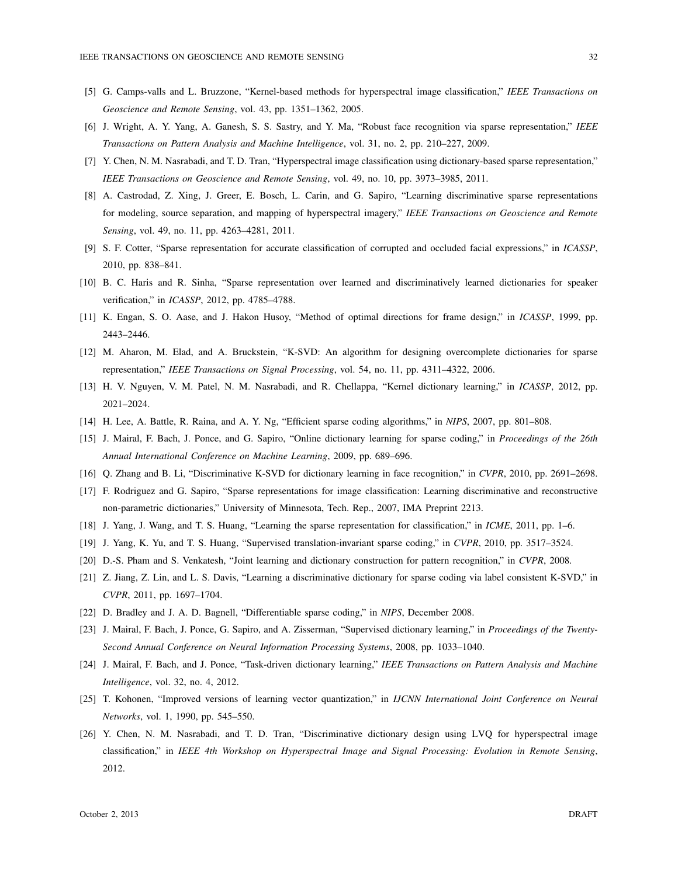- [5] G. Camps-valls and L. Bruzzone, "Kernel-based methods for hyperspectral image classification," *IEEE Transactions on Geoscience and Remote Sensing*, vol. 43, pp. 1351–1362, 2005.
- [6] J. Wright, A. Y. Yang, A. Ganesh, S. S. Sastry, and Y. Ma, "Robust face recognition via sparse representation," *IEEE Transactions on Pattern Analysis and Machine Intelligence*, vol. 31, no. 2, pp. 210–227, 2009.
- [7] Y. Chen, N. M. Nasrabadi, and T. D. Tran, "Hyperspectral image classification using dictionary-based sparse representation," *IEEE Transactions on Geoscience and Remote Sensing*, vol. 49, no. 10, pp. 3973–3985, 2011.
- [8] A. Castrodad, Z. Xing, J. Greer, E. Bosch, L. Carin, and G. Sapiro, "Learning discriminative sparse representations for modeling, source separation, and mapping of hyperspectral imagery," *IEEE Transactions on Geoscience and Remote Sensing*, vol. 49, no. 11, pp. 4263–4281, 2011.
- [9] S. F. Cotter, "Sparse representation for accurate classification of corrupted and occluded facial expressions," in *ICASSP*, 2010, pp. 838–841.
- [10] B. C. Haris and R. Sinha, "Sparse representation over learned and discriminatively learned dictionaries for speaker verification," in *ICASSP*, 2012, pp. 4785–4788.
- [11] K. Engan, S. O. Aase, and J. Hakon Husoy, "Method of optimal directions for frame design," in *ICASSP*, 1999, pp. 2443–2446.
- [12] M. Aharon, M. Elad, and A. Bruckstein, "K-SVD: An algorithm for designing overcomplete dictionaries for sparse representation," *IEEE Transactions on Signal Processing*, vol. 54, no. 11, pp. 4311–4322, 2006.
- [13] H. V. Nguyen, V. M. Patel, N. M. Nasrabadi, and R. Chellappa, "Kernel dictionary learning," in *ICASSP*, 2012, pp. 2021–2024.
- [14] H. Lee, A. Battle, R. Raina, and A. Y. Ng, "Efficient sparse coding algorithms," in *NIPS*, 2007, pp. 801–808.
- [15] J. Mairal, F. Bach, J. Ponce, and G. Sapiro, "Online dictionary learning for sparse coding," in *Proceedings of the 26th Annual International Conference on Machine Learning*, 2009, pp. 689–696.
- [16] Q. Zhang and B. Li, "Discriminative K-SVD for dictionary learning in face recognition," in *CVPR*, 2010, pp. 2691–2698.
- [17] F. Rodriguez and G. Sapiro, "Sparse representations for image classification: Learning discriminative and reconstructive non-parametric dictionaries," University of Minnesota, Tech. Rep., 2007, IMA Preprint 2213.
- [18] J. Yang, J. Wang, and T. S. Huang, "Learning the sparse representation for classification," in *ICME*, 2011, pp. 1–6.
- [19] J. Yang, K. Yu, and T. S. Huang, "Supervised translation-invariant sparse coding," in *CVPR*, 2010, pp. 3517–3524.
- [20] D.-S. Pham and S. Venkatesh, "Joint learning and dictionary construction for pattern recognition," in *CVPR*, 2008.
- [21] Z. Jiang, Z. Lin, and L. S. Davis, "Learning a discriminative dictionary for sparse coding via label consistent K-SVD," in *CVPR*, 2011, pp. 1697–1704.
- [22] D. Bradley and J. A. D. Bagnell, "Differentiable sparse coding," in *NIPS*, December 2008.
- [23] J. Mairal, F. Bach, J. Ponce, G. Sapiro, and A. Zisserman, "Supervised dictionary learning," in *Proceedings of the Twenty-Second Annual Conference on Neural Information Processing Systems*, 2008, pp. 1033–1040.
- [24] J. Mairal, F. Bach, and J. Ponce, "Task-driven dictionary learning," *IEEE Transactions on Pattern Analysis and Machine Intelligence*, vol. 32, no. 4, 2012.
- [25] T. Kohonen, "Improved versions of learning vector quantization," in *IJCNN International Joint Conference on Neural Networks*, vol. 1, 1990, pp. 545–550.
- [26] Y. Chen, N. M. Nasrabadi, and T. D. Tran, "Discriminative dictionary design using LVQ for hyperspectral image classification," in *IEEE 4th Workshop on Hyperspectral Image and Signal Processing: Evolution in Remote Sensing*, 2012.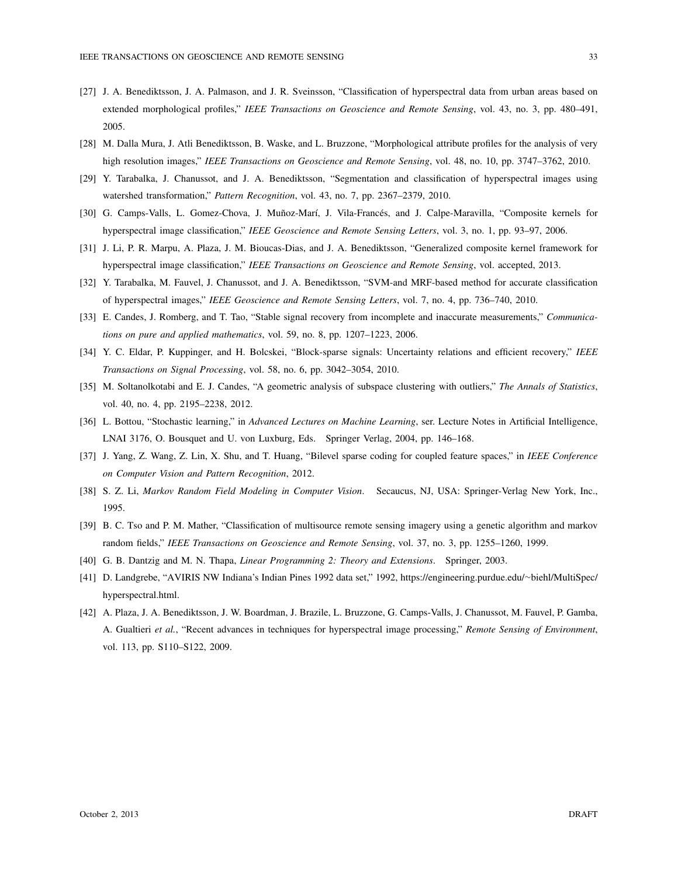- [27] J. A. Benediktsson, J. A. Palmason, and J. R. Sveinsson, "Classification of hyperspectral data from urban areas based on extended morphological profiles," *IEEE Transactions on Geoscience and Remote Sensing*, vol. 43, no. 3, pp. 480–491, 2005.
- [28] M. Dalla Mura, J. Atli Benediktsson, B. Waske, and L. Bruzzone, "Morphological attribute profiles for the analysis of very high resolution images," *IEEE Transactions on Geoscience and Remote Sensing*, vol. 48, no. 10, pp. 3747–3762, 2010.
- [29] Y. Tarabalka, J. Chanussot, and J. A. Benediktsson, "Segmentation and classification of hyperspectral images using watershed transformation," *Pattern Recognition*, vol. 43, no. 7, pp. 2367–2379, 2010.
- [30] G. Camps-Valls, L. Gomez-Chova, J. Muñoz-Marí, J. Vila-Francés, and J. Calpe-Maravilla, "Composite kernels for hyperspectral image classification," *IEEE Geoscience and Remote Sensing Letters*, vol. 3, no. 1, pp. 93–97, 2006.
- [31] J. Li, P. R. Marpu, A. Plaza, J. M. Bioucas-Dias, and J. A. Benediktsson, "Generalized composite kernel framework for hyperspectral image classification," *IEEE Transactions on Geoscience and Remote Sensing*, vol. accepted, 2013.
- [32] Y. Tarabalka, M. Fauvel, J. Chanussot, and J. A. Benediktsson, "SVM-and MRF-based method for accurate classification of hyperspectral images," *IEEE Geoscience and Remote Sensing Letters*, vol. 7, no. 4, pp. 736–740, 2010.
- [33] E. Candes, J. Romberg, and T. Tao, "Stable signal recovery from incomplete and inaccurate measurements," *Communications on pure and applied mathematics*, vol. 59, no. 8, pp. 1207–1223, 2006.
- [34] Y. C. Eldar, P. Kuppinger, and H. Bolcskei, "Block-sparse signals: Uncertainty relations and efficient recovery," *IEEE Transactions on Signal Processing*, vol. 58, no. 6, pp. 3042–3054, 2010.
- [35] M. Soltanolkotabi and E. J. Candes, "A geometric analysis of subspace clustering with outliers," *The Annals of Statistics*, vol. 40, no. 4, pp. 2195–2238, 2012.
- [36] L. Bottou, "Stochastic learning," in *Advanced Lectures on Machine Learning*, ser. Lecture Notes in Artificial Intelligence, LNAI 3176, O. Bousquet and U. von Luxburg, Eds. Springer Verlag, 2004, pp. 146–168.
- [37] J. Yang, Z. Wang, Z. Lin, X. Shu, and T. Huang, "Bilevel sparse coding for coupled feature spaces," in *IEEE Conference on Computer Vision and Pattern Recognition*, 2012.
- [38] S. Z. Li, *Markov Random Field Modeling in Computer Vision*. Secaucus, NJ, USA: Springer-Verlag New York, Inc., 1995.
- [39] B. C. Tso and P. M. Mather, "Classification of multisource remote sensing imagery using a genetic algorithm and markov random fields," *IEEE Transactions on Geoscience and Remote Sensing*, vol. 37, no. 3, pp. 1255–1260, 1999.
- [40] G. B. Dantzig and M. N. Thapa, *Linear Programming 2: Theory and Extensions*. Springer, 2003.
- [41] D. Landgrebe, "AVIRIS NW Indiana's Indian Pines 1992 data set," 1992, https://engineering.purdue.edu/*∼*biehl/MultiSpec/ hyperspectral.html.
- [42] A. Plaza, J. A. Benediktsson, J. W. Boardman, J. Brazile, L. Bruzzone, G. Camps-Valls, J. Chanussot, M. Fauvel, P. Gamba, A. Gualtieri *et al.*, "Recent advances in techniques for hyperspectral image processing," *Remote Sensing of Environment*, vol. 113, pp. S110–S122, 2009.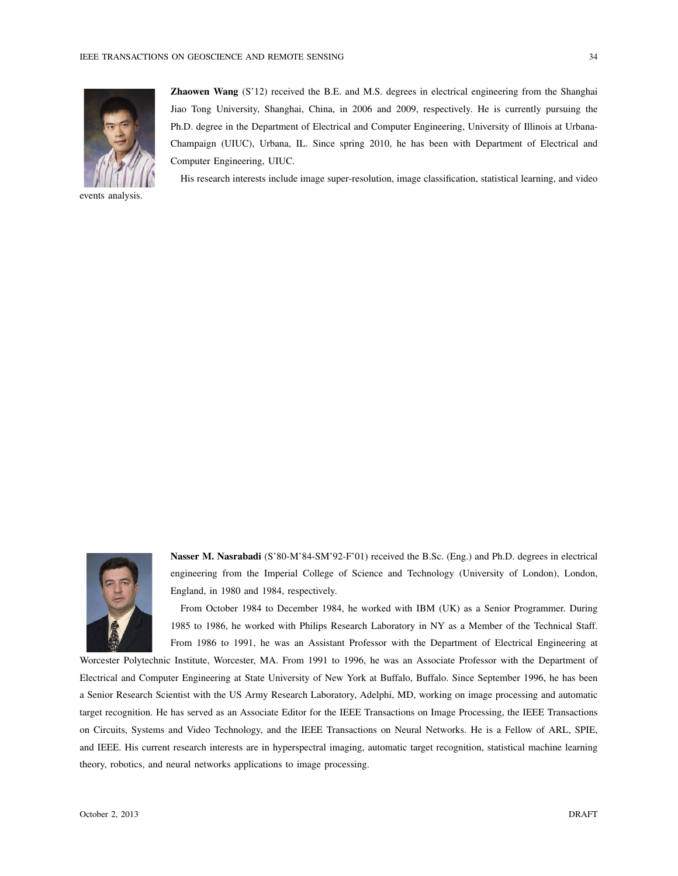

events analysis.

Zhaowen Wang (S'12) received the B.E. and M.S. degrees in electrical engineering from the Shanghai Jiao Tong University, Shanghai, China, in 2006 and 2009, respectively. He is currently pursuing the Ph.D. degree in the Department of Electrical and Computer Engineering, University of Illinois at Urbana-Champaign (UIUC), Urbana, IL. Since spring 2010, he has been with Department of Electrical and Computer Engineering, UIUC.

His research interests include image super-resolution, image classification, statistical learning, and video

Nasser M. Nasrabadi (S'80-M'84-SM'92-F'01) received the B.Sc. (Eng.) and Ph.D. degrees in electrical engineering from the Imperial College of Science and Technology (University of London), London, England, in 1980 and 1984, respectively.

From October 1984 to December 1984, he worked with IBM (UK) as a Senior Programmer. During 1985 to 1986, he worked with Philips Research Laboratory in NY as a Member of the Technical Staff. From 1986 to 1991, he was an Assistant Professor with the Department of Electrical Engineering at

Worcester Polytechnic Institute, Worcester, MA. From 1991 to 1996, he was an Associate Professor with the Department of Electrical and Computer Engineering at State University of New York at Buffalo, Buffalo. Since September 1996, he has been a Senior Research Scientist with the US Army Research Laboratory, Adelphi, MD, working on image processing and automatic target recognition. He has served as an Associate Editor for the IEEE Transactions on Image Processing, the IEEE Transactions on Circuits, Systems and Video Technology, and the IEEE Transactions on Neural Networks. He is a Fellow of ARL, SPIE, and IEEE. His current research interests are in hyperspectral imaging, automatic target recognition, statistical machine learning theory, robotics, and neural networks applications to image processing.